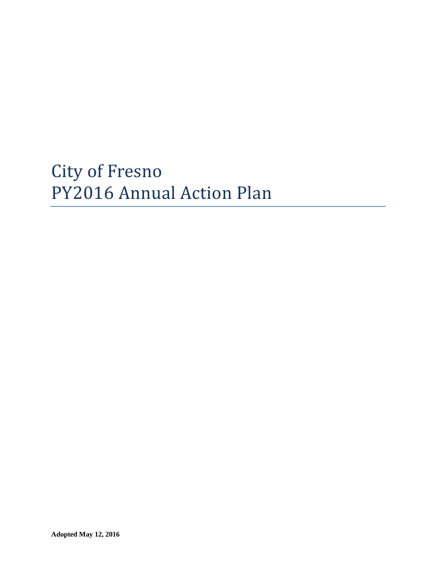# City of Fresno PY2016 Annual Action Plan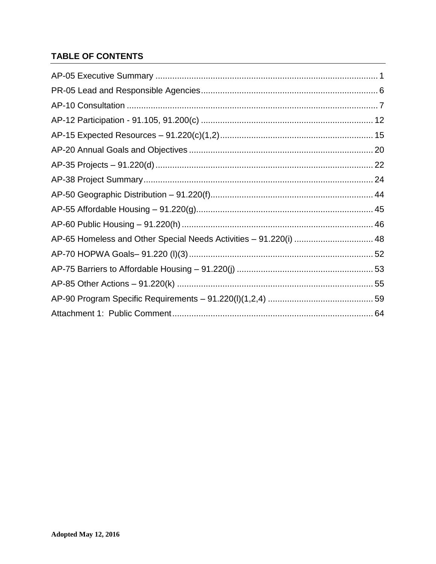### **TABLE OF CONTENTS**

| AP-65 Homeless and Other Special Needs Activities - 91.220(i)  48 |  |
|-------------------------------------------------------------------|--|
|                                                                   |  |
|                                                                   |  |
|                                                                   |  |
|                                                                   |  |
|                                                                   |  |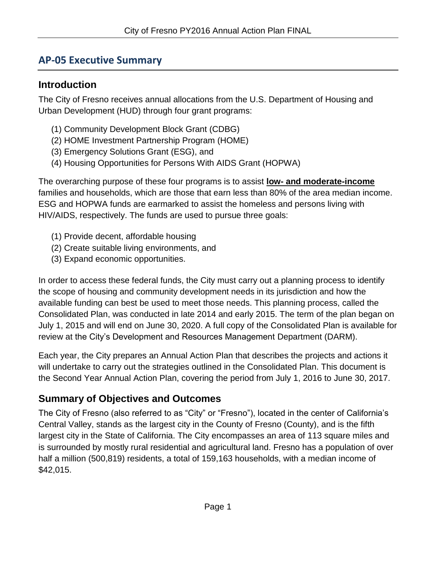## <span id="page-2-0"></span>**AP-05 Executive Summary**

### **Introduction**

The City of Fresno receives annual allocations from the U.S. Department of Housing and Urban Development (HUD) through four grant programs:

- (1) Community Development Block Grant (CDBG)
- (2) HOME Investment Partnership Program (HOME)
- (3) Emergency Solutions Grant (ESG), and
- (4) Housing Opportunities for Persons With AIDS Grant (HOPWA)

The overarching purpose of these four programs is to assist **low- and moderate-income** families and households, which are those that earn less than 80% of the area median income. ESG and HOPWA funds are earmarked to assist the homeless and persons living with HIV/AIDS, respectively. The funds are used to pursue three goals:

- (1) Provide decent, affordable housing
- (2) Create suitable living environments, and
- (3) Expand economic opportunities.

In order to access these federal funds, the City must carry out a planning process to identify the scope of housing and community development needs in its jurisdiction and how the available funding can best be used to meet those needs. This planning process, called the Consolidated Plan, was conducted in late 2014 and early 2015. The term of the plan began on July 1, 2015 and will end on June 30, 2020. A full copy of the Consolidated Plan is available for review at the City's Development and Resources Management Department (DARM).

Each year, the City prepares an Annual Action Plan that describes the projects and actions it will undertake to carry out the strategies outlined in the Consolidated Plan. This document is the Second Year Annual Action Plan, covering the period from July 1, 2016 to June 30, 2017.

## **Summary of Objectives and Outcomes**

The City of Fresno (also referred to as "City" or "Fresno"), located in the center of California's Central Valley, stands as the largest city in the County of Fresno (County), and is the fifth largest city in the State of California. The City encompasses an area of 113 square miles and is surrounded by mostly rural residential and agricultural land. Fresno has a population of over half a million (500,819) residents, a total of 159,163 households, with a median income of \$42,015.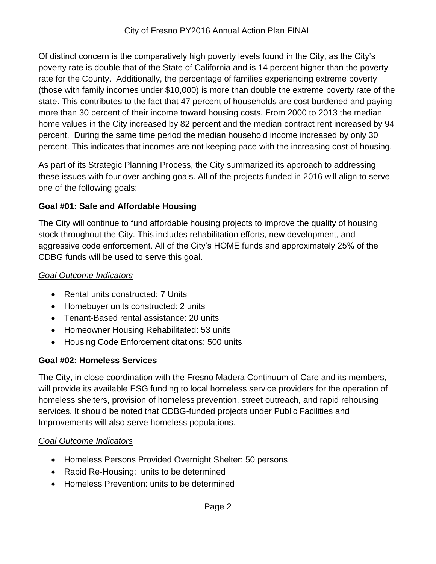Of distinct concern is the comparatively high poverty levels found in the City, as the City's poverty rate is double that of the State of California and is 14 percent higher than the poverty rate for the County. Additionally, the percentage of families experiencing extreme poverty (those with family incomes under \$10,000) is more than double the extreme poverty rate of the state. This contributes to the fact that 47 percent of households are cost burdened and paying more than 30 percent of their income toward housing costs. From 2000 to 2013 the median home values in the City increased by 82 percent and the median contract rent increased by 94 percent. During the same time period the median household income increased by only 30 percent. This indicates that incomes are not keeping pace with the increasing cost of housing.

As part of its Strategic Planning Process, the City summarized its approach to addressing these issues with four over-arching goals. All of the projects funded in 2016 will align to serve one of the following goals:

### **Goal #01: Safe and Affordable Housing**

The City will continue to fund affordable housing projects to improve the quality of housing stock throughout the City. This includes rehabilitation efforts, new development, and aggressive code enforcement. All of the City's HOME funds and approximately 25% of the CDBG funds will be used to serve this goal.

### *Goal Outcome Indicators*

- Rental units constructed: 7 Units
- Homebuver units constructed: 2 units
- Tenant-Based rental assistance: 20 units
- Homeowner Housing Rehabilitated: 53 units
- Housing Code Enforcement citations: 500 units

### **Goal #02: Homeless Services**

The City, in close coordination with the Fresno Madera Continuum of Care and its members, will provide its available ESG funding to local homeless service providers for the operation of homeless shelters, provision of homeless prevention, street outreach, and rapid rehousing services. It should be noted that CDBG-funded projects under Public Facilities and Improvements will also serve homeless populations.

### *Goal Outcome Indicators*

- Homeless Persons Provided Overnight Shelter: 50 persons
- Rapid Re-Housing: units to be determined
- Homeless Prevention: units to be determined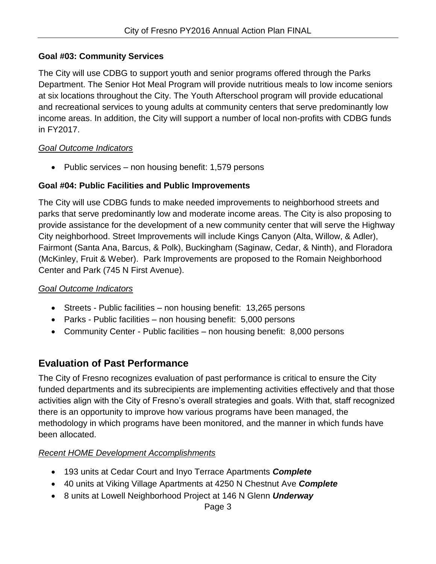### **Goal #03: Community Services**

The City will use CDBG to support youth and senior programs offered through the Parks Department. The Senior Hot Meal Program will provide nutritious meals to low income seniors at six locations throughout the City. The Youth Afterschool program will provide educational and recreational services to young adults at community centers that serve predominantly low income areas. In addition, the City will support a number of local non-profits with CDBG funds in FY2017.

### *Goal Outcome Indicators*

• Public services – non housing benefit: 1,579 persons

### **Goal #04: Public Facilities and Public Improvements**

The City will use CDBG funds to make needed improvements to neighborhood streets and parks that serve predominantly low and moderate income areas. The City is also proposing to provide assistance for the development of a new community center that will serve the Highway City neighborhood. Street Improvements will include Kings Canyon (Alta, Willow, & Adler), Fairmont (Santa Ana, Barcus, & Polk), Buckingham (Saginaw, Cedar, & Ninth), and Floradora (McKinley, Fruit & Weber). Park Improvements are proposed to the Romain Neighborhood Center and Park (745 N First Avenue).

### *Goal Outcome Indicators*

- Streets Public facilities non housing benefit: 13,265 persons
- Parks Public facilities non housing benefit: 5,000 persons
- Community Center Public facilities non housing benefit: 8,000 persons

## **Evaluation of Past Performance**

The City of Fresno recognizes evaluation of past performance is critical to ensure the City funded departments and its subrecipients are implementing activities effectively and that those activities align with the City of Fresno's overall strategies and goals. With that, staff recognized there is an opportunity to improve how various programs have been managed, the methodology in which programs have been monitored, and the manner in which funds have been allocated.

### *Recent HOME Development Accomplishments*

- 193 units at Cedar Court and Inyo Terrace Apartments *Complete*
- 40 units at Viking Village Apartments at 4250 N Chestnut Ave *Complete*
- 8 units at Lowell Neighborhood Project at 146 N Glenn *Underway*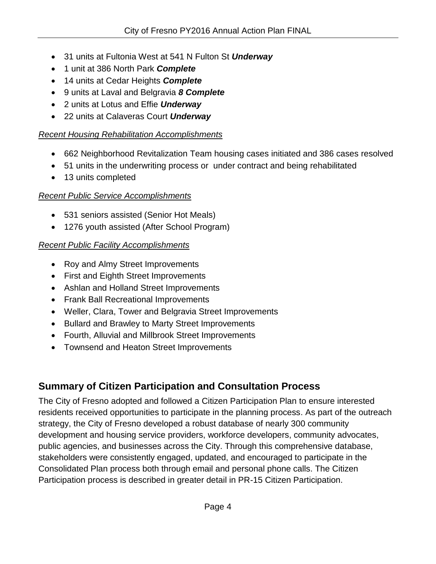- 31 units at Fultonia West at 541 N Fulton St *Underway*
- 1 unit at 386 North Park *Complete*
- 14 units at Cedar Heights *Complete*
- 9 units at Laval and Belgravia *8 Complete*
- 2 units at Lotus and Effie *Underway*
- 22 units at Calaveras Court *Underway*

### *Recent Housing Rehabilitation Accomplishments*

- 662 Neighborhood Revitalization Team housing cases initiated and 386 cases resolved
- 51 units in the underwriting process or under contract and being rehabilitated
- 13 units completed

### *Recent Public Service Accomplishments*

- 531 seniors assisted (Senior Hot Meals)
- 1276 youth assisted (After School Program)

### *Recent Public Facility Accomplishments*

- Roy and Almy Street Improvements
- First and Eighth Street Improvements
- Ashlan and Holland Street Improvements
- Frank Ball Recreational Improvements
- Weller, Clara, Tower and Belgravia Street Improvements
- Bullard and Brawley to Marty Street Improvements
- Fourth, Alluvial and Millbrook Street Improvements
- Townsend and Heaton Street Improvements

## **Summary of Citizen Participation and Consultation Process**

The City of Fresno adopted and followed a Citizen Participation Plan to ensure interested residents received opportunities to participate in the planning process. As part of the outreach strategy, the City of Fresno developed a robust database of nearly 300 community development and housing service providers, workforce developers, community advocates, public agencies, and businesses across the City. Through this comprehensive database, stakeholders were consistently engaged, updated, and encouraged to participate in the Consolidated Plan process both through email and personal phone calls. The Citizen Participation process is described in greater detail in PR-15 Citizen Participation.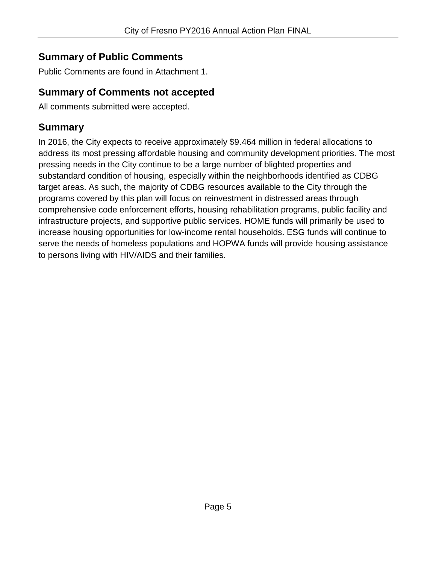### **Summary of Public Comments**

Public Comments are found in Attachment 1.

### **Summary of Comments not accepted**

All comments submitted were accepted.

### **Summary**

In 2016, the City expects to receive approximately \$9.464 million in federal allocations to address its most pressing affordable housing and community development priorities. The most pressing needs in the City continue to be a large number of blighted properties and substandard condition of housing, especially within the neighborhoods identified as CDBG target areas. As such, the majority of CDBG resources available to the City through the programs covered by this plan will focus on reinvestment in distressed areas through comprehensive code enforcement efforts, housing rehabilitation programs, public facility and infrastructure projects, and supportive public services. HOME funds will primarily be used to increase housing opportunities for low-income rental households. ESG funds will continue to serve the needs of homeless populations and HOPWA funds will provide housing assistance to persons living with HIV/AIDS and their families.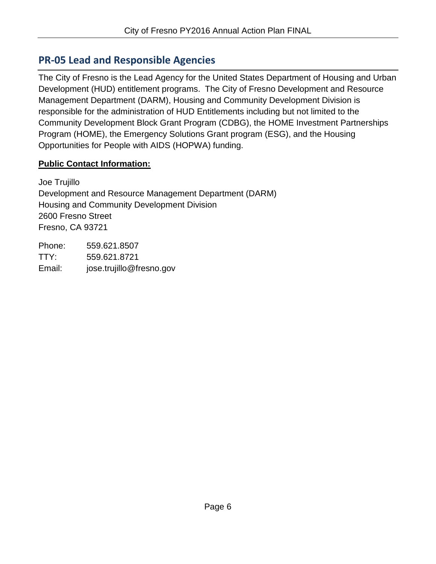## <span id="page-7-0"></span>**PR-05 Lead and Responsible Agencies**

The City of Fresno is the Lead Agency for the United States Department of Housing and Urban Development (HUD) entitlement programs. The City of Fresno Development and Resource Management Department (DARM), Housing and Community Development Division is responsible for the administration of HUD Entitlements including but not limited to the Community Development Block Grant Program (CDBG), the HOME Investment Partnerships Program (HOME), the Emergency Solutions Grant program (ESG), and the Housing Opportunities for People with AIDS (HOPWA) funding.

### **Public Contact Information:**

Joe Trujillo Development and Resource Management Department (DARM) Housing and Community Development Division 2600 Fresno Street Fresno, CA 93721

Phone: 559.621.8507 TTY: 559.621.8721 Email: jose.trujillo@fresno.gov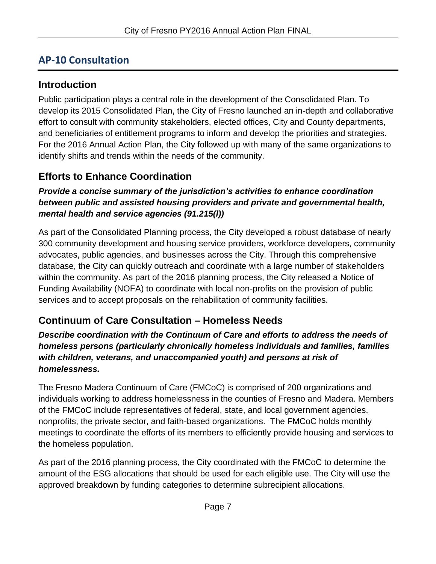## <span id="page-8-0"></span>**AP-10 Consultation**

### **Introduction**

Public participation plays a central role in the development of the Consolidated Plan. To develop its 2015 Consolidated Plan, the City of Fresno launched an in-depth and collaborative effort to consult with community stakeholders, elected offices, City and County departments, and beneficiaries of entitlement programs to inform and develop the priorities and strategies. For the 2016 Annual Action Plan, the City followed up with many of the same organizations to identify shifts and trends within the needs of the community.

## **Efforts to Enhance Coordination**

### *Provide a concise summary of the jurisdiction's activities to enhance coordination between public and assisted housing providers and private and governmental health, mental health and service agencies (91.215(l))*

As part of the Consolidated Planning process, the City developed a robust database of nearly 300 community development and housing service providers, workforce developers, community advocates, public agencies, and businesses across the City. Through this comprehensive database, the City can quickly outreach and coordinate with a large number of stakeholders within the community. As part of the 2016 planning process, the City released a Notice of Funding Availability (NOFA) to coordinate with local non-profits on the provision of public services and to accept proposals on the rehabilitation of community facilities.

## **Continuum of Care Consultation – Homeless Needs**

*Describe coordination with the Continuum of Care and efforts to address the needs of homeless persons (particularly chronically homeless individuals and families, families with children, veterans, and unaccompanied youth) and persons at risk of homelessness.*

The Fresno Madera Continuum of Care (FMCoC) is comprised of 200 organizations and individuals working to address homelessness in the counties of Fresno and Madera. Members of the FMCoC include representatives of federal, state, and local government agencies, nonprofits, the private sector, and faith-based organizations. The FMCoC holds monthly meetings to coordinate the efforts of its members to efficiently provide housing and services to the homeless population.

As part of the 2016 planning process, the City coordinated with the FMCoC to determine the amount of the ESG allocations that should be used for each eligible use. The City will use the approved breakdown by funding categories to determine subrecipient allocations.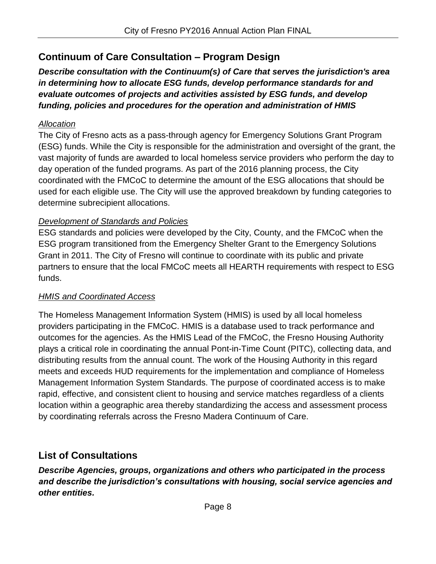### **Continuum of Care Consultation – Program Design**

*Describe consultation with the Continuum(s) of Care that serves the jurisdiction's area in determining how to allocate ESG funds, develop performance standards for and evaluate outcomes of projects and activities assisted by ESG funds, and develop funding, policies and procedures for the operation and administration of HMIS*

### *Allocation*

The City of Fresno acts as a pass-through agency for Emergency Solutions Grant Program (ESG) funds. While the City is responsible for the administration and oversight of the grant, the vast majority of funds are awarded to local homeless service providers who perform the day to day operation of the funded programs. As part of the 2016 planning process, the City coordinated with the FMCoC to determine the amount of the ESG allocations that should be used for each eligible use. The City will use the approved breakdown by funding categories to determine subrecipient allocations.

### *Development of Standards and Policies*

ESG standards and policies were developed by the City, County, and the FMCoC when the ESG program transitioned from the Emergency Shelter Grant to the Emergency Solutions Grant in 2011. The City of Fresno will continue to coordinate with its public and private partners to ensure that the local FMCoC meets all HEARTH requirements with respect to ESG funds.

### *HMIS and Coordinated Access*

The Homeless Management Information System (HMIS) is used by all local homeless providers participating in the FMCoC. HMIS is a database used to track performance and outcomes for the agencies. As the HMIS Lead of the FMCoC, the Fresno Housing Authority plays a critical role in coordinating the annual Pont-in-Time Count (PITC), collecting data, and distributing results from the annual count. The work of the Housing Authority in this regard meets and exceeds HUD requirements for the implementation and compliance of Homeless Management Information System Standards. The purpose of coordinated access is to make rapid, effective, and consistent client to housing and service matches regardless of a clients location within a geographic area thereby standardizing the access and assessment process by coordinating referrals across the Fresno Madera Continuum of Care.

### **List of Consultations**

*Describe Agencies, groups, organizations and others who participated in the process and describe the jurisdiction's consultations with housing, social service agencies and other entities.*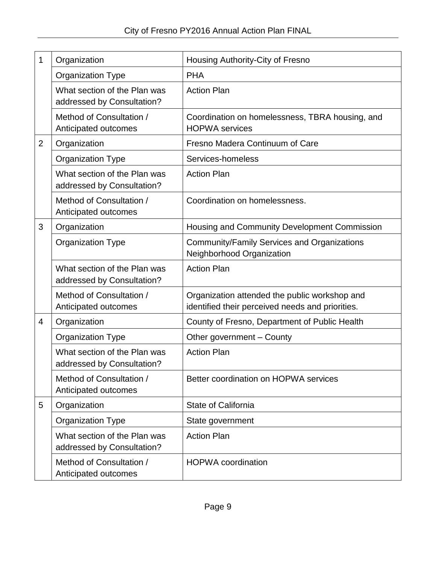| 1                                      | Organization                                               | Housing Authority-City of Fresno                                                                  |  |
|----------------------------------------|------------------------------------------------------------|---------------------------------------------------------------------------------------------------|--|
| <b>PHA</b><br><b>Organization Type</b> |                                                            |                                                                                                   |  |
|                                        | What section of the Plan was<br>addressed by Consultation? | <b>Action Plan</b>                                                                                |  |
|                                        | Method of Consultation /<br>Anticipated outcomes           | Coordination on homelessness, TBRA housing, and<br><b>HOPWA</b> services                          |  |
| $\overline{2}$                         | Organization                                               | Fresno Madera Continuum of Care                                                                   |  |
|                                        | <b>Organization Type</b>                                   | Services-homeless                                                                                 |  |
|                                        | What section of the Plan was<br>addressed by Consultation? | <b>Action Plan</b>                                                                                |  |
|                                        | Method of Consultation /<br>Anticipated outcomes           | Coordination on homelessness.                                                                     |  |
| 3                                      | Organization                                               | Housing and Community Development Commission                                                      |  |
|                                        | <b>Organization Type</b>                                   | <b>Community/Family Services and Organizations</b><br>Neighborhood Organization                   |  |
|                                        | What section of the Plan was<br>addressed by Consultation? | <b>Action Plan</b>                                                                                |  |
|                                        | Method of Consultation /<br>Anticipated outcomes           | Organization attended the public workshop and<br>identified their perceived needs and priorities. |  |
| $\overline{4}$                         | Organization                                               | County of Fresno, Department of Public Health                                                     |  |
|                                        | <b>Organization Type</b>                                   | Other government - County                                                                         |  |
|                                        | What section of the Plan was<br>addressed by Consultation? | <b>Action Plan</b>                                                                                |  |
|                                        | Method of Consultation /<br>Anticipated outcomes           | Better coordination on HOPWA services                                                             |  |
| 5                                      | Organization                                               | <b>State of California</b>                                                                        |  |
|                                        | <b>Organization Type</b>                                   | State government                                                                                  |  |
|                                        | What section of the Plan was<br>addressed by Consultation? | <b>Action Plan</b>                                                                                |  |
|                                        | Method of Consultation /<br>Anticipated outcomes           | <b>HOPWA</b> coordination                                                                         |  |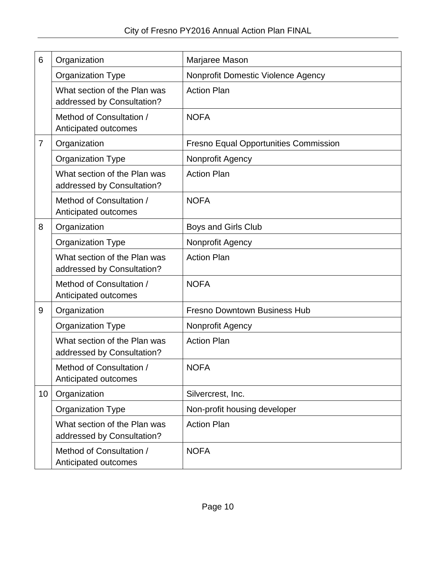| 6              | Organization                                               | Marjaree Mason                               |  |
|----------------|------------------------------------------------------------|----------------------------------------------|--|
|                | <b>Organization Type</b>                                   | Nonprofit Domestic Violence Agency           |  |
|                | What section of the Plan was<br>addressed by Consultation? | <b>Action Plan</b>                           |  |
|                | Method of Consultation /<br>Anticipated outcomes           | <b>NOFA</b>                                  |  |
| $\overline{7}$ | Organization                                               | <b>Fresno Equal Opportunities Commission</b> |  |
|                | <b>Organization Type</b>                                   | Nonprofit Agency                             |  |
|                | What section of the Plan was<br>addressed by Consultation? | <b>Action Plan</b>                           |  |
|                | Method of Consultation /<br>Anticipated outcomes           | <b>NOFA</b>                                  |  |
| 8              | Organization                                               | Boys and Girls Club                          |  |
|                | <b>Organization Type</b>                                   | Nonprofit Agency                             |  |
|                | What section of the Plan was<br>addressed by Consultation? | <b>Action Plan</b>                           |  |
|                | Method of Consultation /<br>Anticipated outcomes           | <b>NOFA</b>                                  |  |
| 9              | Organization                                               | <b>Fresno Downtown Business Hub</b>          |  |
|                | <b>Organization Type</b>                                   | Nonprofit Agency                             |  |
|                | What section of the Plan was<br>addressed by Consultation? | <b>Action Plan</b>                           |  |
|                | Method of Consultation /<br>Anticipated outcomes           | <b>NOFA</b>                                  |  |
| 10             | Organization                                               | Silvercrest, Inc.                            |  |
|                | <b>Organization Type</b>                                   | Non-profit housing developer                 |  |
|                | What section of the Plan was<br>addressed by Consultation? | <b>Action Plan</b>                           |  |
|                | Method of Consultation /<br>Anticipated outcomes           | <b>NOFA</b>                                  |  |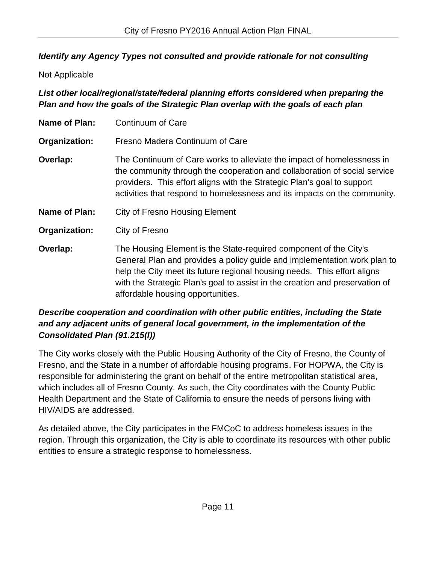### *Identify any Agency Types not consulted and provide rationale for not consulting*

### Not Applicable

### *List other local/regional/state/federal planning efforts considered when preparing the Plan and how the goals of the Strategic Plan overlap with the goals of each plan*

| <b>Name of Plan:</b> | <b>Continuum of Care</b>                                                                                                                                                                                                                                                                                                                       |  |  |
|----------------------|------------------------------------------------------------------------------------------------------------------------------------------------------------------------------------------------------------------------------------------------------------------------------------------------------------------------------------------------|--|--|
| Organization:        | Fresno Madera Continuum of Care                                                                                                                                                                                                                                                                                                                |  |  |
| Overlap:             | The Continuum of Care works to alleviate the impact of homelessness in<br>the community through the cooperation and collaboration of social service<br>providers. This effort aligns with the Strategic Plan's goal to support<br>activities that respond to homelessness and its impacts on the community.                                    |  |  |
| <b>Name of Plan:</b> | <b>City of Fresno Housing Element</b>                                                                                                                                                                                                                                                                                                          |  |  |
| Organization:        | City of Fresno                                                                                                                                                                                                                                                                                                                                 |  |  |
| Overlap:             | The Housing Element is the State-required component of the City's<br>General Plan and provides a policy guide and implementation work plan to<br>help the City meet its future regional housing needs. This effort aligns<br>with the Strategic Plan's goal to assist in the creation and preservation of<br>affordable housing opportunities. |  |  |

### *Describe cooperation and coordination with other public entities, including the State and any adjacent units of general local government, in the implementation of the Consolidated Plan (91.215(l))*

The City works closely with the Public Housing Authority of the City of Fresno, the County of Fresno, and the State in a number of affordable housing programs. For HOPWA, the City is responsible for administering the grant on behalf of the entire metropolitan statistical area, which includes all of Fresno County. As such, the City coordinates with the County Public Health Department and the State of California to ensure the needs of persons living with HIV/AIDS are addressed.

As detailed above, the City participates in the FMCoC to address homeless issues in the region. Through this organization, the City is able to coordinate its resources with other public entities to ensure a strategic response to homelessness.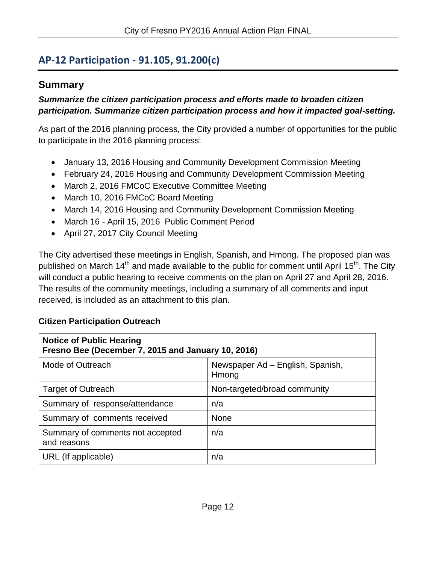## <span id="page-13-0"></span>**AP-12 Participation - 91.105, 91.200(c)**

### **Summary**

### *Summarize the citizen participation process and efforts made to broaden citizen participation. Summarize citizen participation process and how it impacted goal-setting.*

As part of the 2016 planning process, the City provided a number of opportunities for the public to participate in the 2016 planning process:

- January 13, 2016 Housing and Community Development Commission Meeting
- February 24, 2016 Housing and Community Development Commission Meeting
- March 2, 2016 FMCoC Executive Committee Meeting
- March 10, 2016 FMCoC Board Meeting
- March 14, 2016 Housing and Community Development Commission Meeting
- March 16 April 15, 2016 Public Comment Period
- April 27, 2017 City Council Meeting

The City advertised these meetings in English, Spanish, and Hmong. The proposed plan was published on March 14<sup>th</sup> and made available to the public for comment until April 15<sup>th</sup>. The City will conduct a public hearing to receive comments on the plan on April 27 and April 28, 2016. The results of the community meetings, including a summary of all comments and input received, is included as an attachment to this plan.

### **Citizen Participation Outreach**

| <b>Notice of Public Hearing</b><br>Fresno Bee (December 7, 2015 and January 10, 2016) |                                           |  |  |
|---------------------------------------------------------------------------------------|-------------------------------------------|--|--|
| Mode of Outreach                                                                      | Newspaper Ad - English, Spanish,<br>Hmong |  |  |
| <b>Target of Outreach</b>                                                             | Non-targeted/broad community              |  |  |
| Summary of response/attendance                                                        | n/a                                       |  |  |
| Summary of comments received                                                          | <b>None</b>                               |  |  |
| Summary of comments not accepted<br>and reasons                                       | n/a                                       |  |  |
| URL (If applicable)                                                                   | n/a                                       |  |  |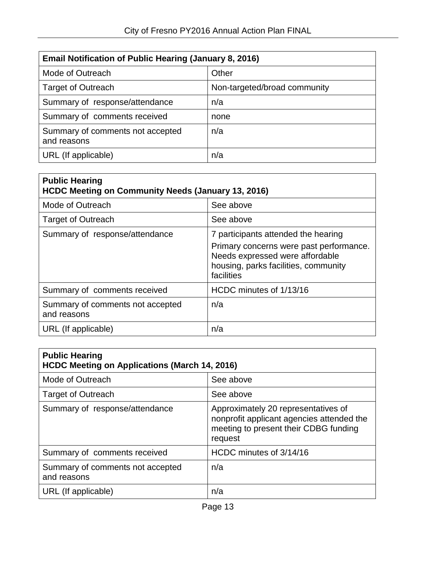| <b>Email Notification of Public Hearing (January 8, 2016)</b> |                              |  |  |
|---------------------------------------------------------------|------------------------------|--|--|
| Mode of Outreach                                              | Other                        |  |  |
| <b>Target of Outreach</b>                                     | Non-targeted/broad community |  |  |
| Summary of response/attendance                                | n/a                          |  |  |
| Summary of comments received                                  | none                         |  |  |
| Summary of comments not accepted<br>and reasons               | n/a                          |  |  |
| URL (If applicable)                                           | n/a                          |  |  |

| <b>Public Hearing</b><br><b>HCDC Meeting on Community Needs (January 13, 2016)</b> |                                                                                                                                                                         |  |  |
|------------------------------------------------------------------------------------|-------------------------------------------------------------------------------------------------------------------------------------------------------------------------|--|--|
| Mode of Outreach                                                                   | See above                                                                                                                                                               |  |  |
| <b>Target of Outreach</b>                                                          | See above                                                                                                                                                               |  |  |
| Summary of response/attendance                                                     | 7 participants attended the hearing<br>Primary concerns were past performance.<br>Needs expressed were affordable<br>housing, parks facilities, community<br>facilities |  |  |
| Summary of comments received                                                       | HCDC minutes of 1/13/16                                                                                                                                                 |  |  |
| Summary of comments not accepted<br>and reasons                                    | n/a                                                                                                                                                                     |  |  |
| URL (If applicable)                                                                | n/a                                                                                                                                                                     |  |  |

| <b>Public Hearing</b><br><b>HCDC Meeting on Applications (March 14, 2016)</b> |                                                                                                                                      |  |  |
|-------------------------------------------------------------------------------|--------------------------------------------------------------------------------------------------------------------------------------|--|--|
| Mode of Outreach                                                              | See above                                                                                                                            |  |  |
| <b>Target of Outreach</b>                                                     | See above                                                                                                                            |  |  |
| Summary of response/attendance                                                | Approximately 20 representatives of<br>nonprofit applicant agencies attended the<br>meeting to present their CDBG funding<br>request |  |  |
| Summary of comments received                                                  | HCDC minutes of 3/14/16                                                                                                              |  |  |
| Summary of comments not accepted<br>and reasons                               | n/a                                                                                                                                  |  |  |
| URL (If applicable)                                                           | n/a                                                                                                                                  |  |  |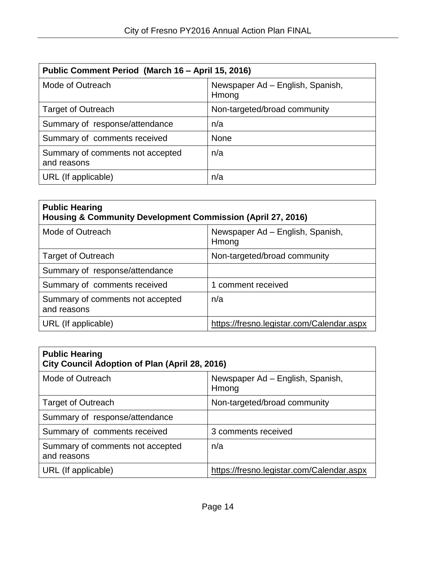| Public Comment Period (March 16 - April 15, 2016) |                                           |  |  |
|---------------------------------------------------|-------------------------------------------|--|--|
| Mode of Outreach                                  | Newspaper Ad - English, Spanish,<br>Hmong |  |  |
| <b>Target of Outreach</b>                         | Non-targeted/broad community              |  |  |
| Summary of response/attendance                    | n/a                                       |  |  |
| Summary of comments received                      | <b>None</b>                               |  |  |
| Summary of comments not accepted<br>and reasons   | n/a                                       |  |  |
| URL (If applicable)                               | n/a                                       |  |  |

| <b>Public Hearing</b><br>Housing & Community Development Commission (April 27, 2016) |                                           |  |  |
|--------------------------------------------------------------------------------------|-------------------------------------------|--|--|
| Mode of Outreach                                                                     | Newspaper Ad - English, Spanish,<br>Hmong |  |  |
| <b>Target of Outreach</b>                                                            | Non-targeted/broad community              |  |  |
| Summary of response/attendance                                                       |                                           |  |  |
| Summary of comments received                                                         | 1 comment received                        |  |  |
| Summary of comments not accepted<br>and reasons                                      | n/a                                       |  |  |
| URL (If applicable)                                                                  | https://fresno.legistar.com/Calendar.aspx |  |  |

| <b>Public Hearing</b><br>City Council Adoption of Plan (April 28, 2016) |                                           |  |  |
|-------------------------------------------------------------------------|-------------------------------------------|--|--|
| Mode of Outreach                                                        | Newspaper Ad - English, Spanish,<br>Hmong |  |  |
| <b>Target of Outreach</b>                                               | Non-targeted/broad community              |  |  |
| Summary of response/attendance                                          |                                           |  |  |
| Summary of comments received                                            | 3 comments received                       |  |  |
| Summary of comments not accepted<br>and reasons                         | n/a                                       |  |  |
| URL (If applicable)                                                     | https://fresno.legistar.com/Calendar.aspx |  |  |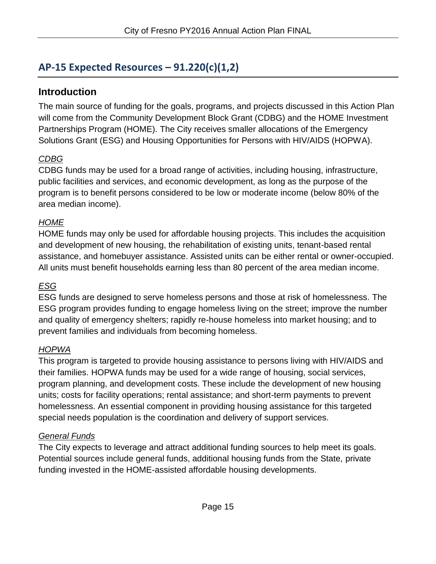## <span id="page-16-0"></span>**AP-15 Expected Resources – 91.220(c)(1,2)**

### **Introduction**

The main source of funding for the goals, programs, and projects discussed in this Action Plan will come from the Community Development Block Grant (CDBG) and the HOME Investment Partnerships Program (HOME). The City receives smaller allocations of the Emergency Solutions Grant (ESG) and Housing Opportunities for Persons with HIV/AIDS (HOPWA).

### *CDBG*

CDBG funds may be used for a broad range of activities, including housing, infrastructure, public facilities and services, and economic development, as long as the purpose of the program is to benefit persons considered to be low or moderate income (below 80% of the area median income).

### *HOME*

HOME funds may only be used for affordable housing projects. This includes the acquisition and development of new housing, the rehabilitation of existing units, tenant-based rental assistance, and homebuyer assistance. Assisted units can be either rental or owner-occupied. All units must benefit households earning less than 80 percent of the area median income.

### *ESG*

ESG funds are designed to serve homeless persons and those at risk of homelessness. The ESG program provides funding to engage homeless living on the street; improve the number and quality of emergency shelters; rapidly re-house homeless into market housing; and to prevent families and individuals from becoming homeless.

### *HOPWA*

This program is targeted to provide housing assistance to persons living with HIV/AIDS and their families. HOPWA funds may be used for a wide range of housing, social services, program planning, and development costs. These include the development of new housing units; costs for facility operations; rental assistance; and short-term payments to prevent homelessness. An essential component in providing housing assistance for this targeted special needs population is the coordination and delivery of support services.

### *General Funds*

The City expects to leverage and attract additional funding sources to help meet its goals. Potential sources include general funds, additional housing funds from the State, private funding invested in the HOME-assisted affordable housing developments.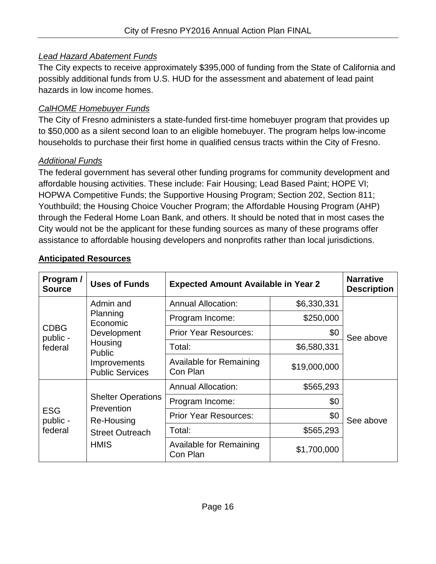### *Lead Hazard Abatement Funds*

The City expects to receive approximately \$395,000 of funding from the State of California and possibly additional funds from U.S. HUD for the assessment and abatement of lead paint hazards in low income homes.

### *CalHOME Homebuyer Funds*

The City of Fresno administers a state-funded first-time homebuyer program that provides up to \$50,000 as a silent second loan to an eligible homebuyer. The program helps low-income households to purchase their first home in qualified census tracts within the City of Fresno.

### *Additional Funds*

The federal government has several other funding programs for community development and affordable housing activities. These include: Fair Housing; Lead Based Paint; HOPE VI; HOPWA Competitive Funds; the Supportive Housing Program; Section 202, Section 811; Youthbuild; the Housing Choice Voucher Program; the Affordable Housing Program (AHP) through the Federal Home Loan Bank, and others. It should be noted that in most cases the City would not be the applicant for these funding sources as many of these programs offer assistance to affordable housing developers and nonprofits rather than local jurisdictions.

| Program /<br><b>Source</b> | <b>Uses of Funds</b>                                                                                                   | <b>Expected Amount Available in Year 2</b> |              | <b>Narrative</b><br><b>Description</b> |
|----------------------------|------------------------------------------------------------------------------------------------------------------------|--------------------------------------------|--------------|----------------------------------------|
|                            | Admin and<br>Planning<br>Economic<br>Development<br>Housing<br><b>Public</b><br>Improvements<br><b>Public Services</b> | <b>Annual Allocation:</b>                  | \$6,330,331  |                                        |
|                            |                                                                                                                        | Program Income:                            | \$250,000    | See above                              |
| <b>CDBG</b><br>public -    |                                                                                                                        | <b>Prior Year Resources:</b>               | \$0          |                                        |
| federal                    |                                                                                                                        | Total:                                     | \$6,580,331  |                                        |
|                            |                                                                                                                        | Available for Remaining<br>Con Plan        | \$19,000,000 |                                        |
|                            | <b>Shelter Operations</b><br>Prevention<br>Re-Housing<br><b>Street Outreach</b><br><b>HMIS</b>                         | <b>Annual Allocation:</b>                  | \$565,293    |                                        |
|                            |                                                                                                                        | Program Income:                            | \$0          |                                        |
| <b>ESG</b><br>public -     |                                                                                                                        | <b>Prior Year Resources:</b>               | \$0          | See above                              |
| federal                    |                                                                                                                        | Total:                                     | \$565,293    |                                        |
|                            |                                                                                                                        | Available for Remaining<br>Con Plan        | \$1,700,000  |                                        |

### **Anticipated Resources**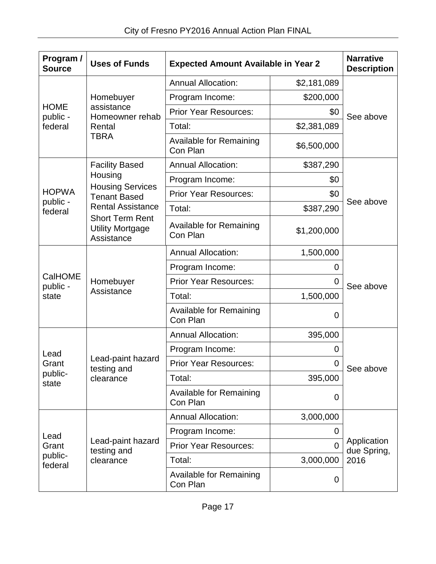| Program /<br><b>Source</b> | <b>Uses of Funds</b>                                            | <b>Expected Amount Available in Year 2</b> |             | <b>Narrative</b><br><b>Description</b> |
|----------------------------|-----------------------------------------------------------------|--------------------------------------------|-------------|----------------------------------------|
|                            |                                                                 | <b>Annual Allocation:</b>                  | \$2,181,089 | See above                              |
|                            | Homebuyer                                                       | Program Income:                            | \$200,000   |                                        |
| <b>HOME</b><br>public -    | assistance<br>Homeowner rehab                                   | <b>Prior Year Resources:</b>               | \$0         |                                        |
| federal                    | Rental                                                          | Total:                                     | \$2,381,089 |                                        |
|                            | <b>TBRA</b>                                                     | <b>Available for Remaining</b><br>Con Plan | \$6,500,000 |                                        |
|                            | <b>Facility Based</b>                                           | <b>Annual Allocation:</b>                  | \$387,290   |                                        |
|                            | Housing                                                         | Program Income:                            | \$0         |                                        |
| <b>HOPWA</b>               | <b>Housing Services</b><br><b>Tenant Based</b>                  | <b>Prior Year Resources:</b>               | \$0         |                                        |
| public -<br>federal        | <b>Rental Assistance</b>                                        | Total:                                     | \$387,290   | See above                              |
|                            | <b>Short Term Rent</b><br><b>Utility Mortgage</b><br>Assistance | Available for Remaining<br>Con Plan        | \$1,200,000 |                                        |
|                            | Homebuyer<br>Assistance                                         | <b>Annual Allocation:</b>                  | 1,500,000   | See above                              |
|                            |                                                                 | Program Income:                            |             |                                        |
| CalHOME<br>public -        |                                                                 | <b>Prior Year Resources:</b>               | 0           |                                        |
| state                      |                                                                 | Total:                                     | 1,500,000   |                                        |
|                            |                                                                 | Available for Remaining<br>Con Plan        | 0           |                                        |
|                            |                                                                 | <b>Annual Allocation:</b>                  | 395,000     |                                        |
| Lead                       |                                                                 | Program Income:                            | 0           |                                        |
| Grant                      | Lead-paint hazard<br>testing and                                | <b>Prior Year Resources:</b>               | 0           | See above                              |
| public-<br>state           | clearance                                                       | Total:                                     | 395,000     |                                        |
|                            |                                                                 | Available for Remaining<br>Con Plan        | 0           |                                        |
|                            |                                                                 | <b>Annual Allocation:</b>                  | 3,000,000   |                                        |
| Lead                       |                                                                 | Program Income:                            | 0           | Application<br>due Spring,<br>2016     |
| Grant                      | Lead-paint hazard<br>testing and                                | <b>Prior Year Resources:</b>               | 0           |                                        |
| public-<br>federal         | clearance                                                       | Total:                                     | 3,000,000   |                                        |
|                            |                                                                 | Available for Remaining<br>Con Plan        | 0           |                                        |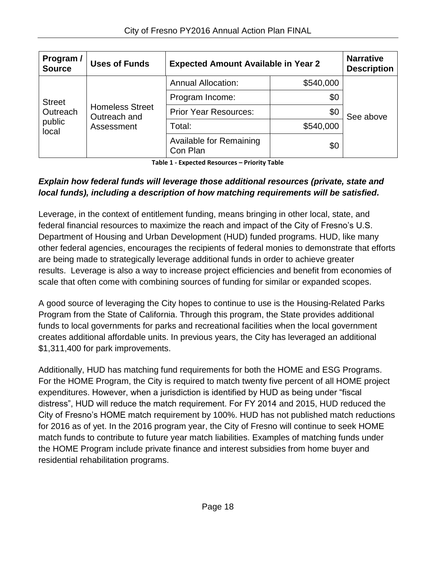| Program /<br><b>Source</b> | <b>Uses of Funds</b>                                 | <b>Expected Amount Available in Year 2</b> |           | <b>Narrative</b><br><b>Description</b> |
|----------------------------|------------------------------------------------------|--------------------------------------------|-----------|----------------------------------------|
|                            | <b>Homeless Street</b><br>Outreach and<br>Assessment | <b>Annual Allocation:</b>                  | \$540,000 | See above                              |
| <b>Street</b>              |                                                      | Program Income:                            | \$0       |                                        |
| Outreach                   |                                                      | <b>Prior Year Resources:</b>               | \$0       |                                        |
| public<br>local            |                                                      | Total:                                     | \$540,000 |                                        |
|                            |                                                      | Available for Remaining<br>Con Plan        | \$0       |                                        |

**Table 1 - Expected Resources – Priority Table**

### *Explain how federal funds will leverage those additional resources (private, state and local funds), including a description of how matching requirements will be satisfied.*

Leverage, in the context of entitlement funding, means bringing in other local, state, and federal financial resources to maximize the reach and impact of the City of Fresno's U.S. Department of Housing and Urban Development (HUD) funded programs. HUD, like many other federal agencies, encourages the recipients of federal monies to demonstrate that efforts are being made to strategically leverage additional funds in order to achieve greater results. Leverage is also a way to increase project efficiencies and benefit from economies of scale that often come with combining sources of funding for similar or expanded scopes.

A good source of leveraging the City hopes to continue to use is the Housing-Related Parks Program from the State of California. Through this program, the State provides additional funds to local governments for parks and recreational facilities when the local government creates additional affordable units. In previous years, the City has leveraged an additional \$1,311,400 for park improvements.

Additionally, HUD has matching fund requirements for both the HOME and ESG Programs. For the HOME Program, the City is required to match twenty five percent of all HOME project expenditures. However, when a jurisdiction is identified by HUD as being under "fiscal distress", HUD will reduce the match requirement. For FY 2014 and 2015, HUD reduced the City of Fresno's HOME match requirement by 100%. HUD has not published match reductions for 2016 as of yet. In the 2016 program year, the City of Fresno will continue to seek HOME match funds to contribute to future year match liabilities. Examples of matching funds under the HOME Program include private finance and interest subsidies from home buyer and residential rehabilitation programs.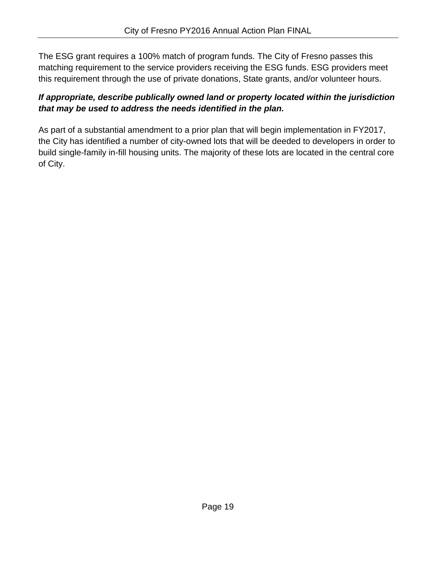The ESG grant requires a 100% match of program funds. The City of Fresno passes this matching requirement to the service providers receiving the ESG funds. ESG providers meet this requirement through the use of private donations, State grants, and/or volunteer hours.

### *If appropriate, describe publically owned land or property located within the jurisdiction that may be used to address the needs identified in the plan.*

As part of a substantial amendment to a prior plan that will begin implementation in FY2017, the City has identified a number of city-owned lots that will be deeded to developers in order to build single-family in-fill housing units. The majority of these lots are located in the central core of City.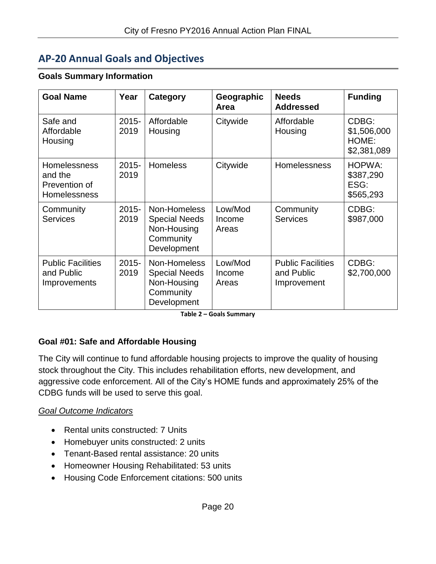## <span id="page-21-0"></span>**AP-20 Annual Goals and Objectives**

#### **Goals Summary Information**

| <b>Goal Name</b>                                                       | Year             | Category                                                                        | Geographic<br>Area         | <b>Needs</b><br><b>Addressed</b>                      | <b>Funding</b>                               |
|------------------------------------------------------------------------|------------------|---------------------------------------------------------------------------------|----------------------------|-------------------------------------------------------|----------------------------------------------|
| Safe and<br>Affordable<br>Housing                                      | $2015 -$<br>2019 | Affordable<br>Housing                                                           | Citywide                   | Affordable<br>Housing                                 | CDBG:<br>\$1,506,000<br>HOME:<br>\$2,381,089 |
| <b>Homelessness</b><br>and the<br>Prevention of<br><b>Homelessness</b> | $2015 -$<br>2019 | <b>Homeless</b>                                                                 | Citywide                   | Homelessness                                          | HOPWA:<br>\$387,290<br>ESG:<br>\$565,293     |
| Community<br><b>Services</b>                                           | $2015 -$<br>2019 | Non-Homeless<br><b>Special Needs</b><br>Non-Housing<br>Community<br>Development | Low/Mod<br>Income<br>Areas | Community<br><b>Services</b>                          | CDBG:<br>\$987,000                           |
| <b>Public Facilities</b><br>and Public<br>Improvements                 | $2015 -$<br>2019 | Non-Homeless<br><b>Special Needs</b><br>Non-Housing<br>Community<br>Development | Low/Mod<br>Income<br>Areas | <b>Public Facilities</b><br>and Public<br>Improvement | CDBG:<br>\$2,700,000                         |

**Table 2 – Goals Summary**

#### **Goal #01: Safe and Affordable Housing**

The City will continue to fund affordable housing projects to improve the quality of housing stock throughout the City. This includes rehabilitation efforts, new development, and aggressive code enforcement. All of the City's HOME funds and approximately 25% of the CDBG funds will be used to serve this goal.

### *Goal Outcome Indicators*

- Rental units constructed: 7 Units
- Homebuyer units constructed: 2 units
- Tenant-Based rental assistance: 20 units
- Homeowner Housing Rehabilitated: 53 units
- Housing Code Enforcement citations: 500 units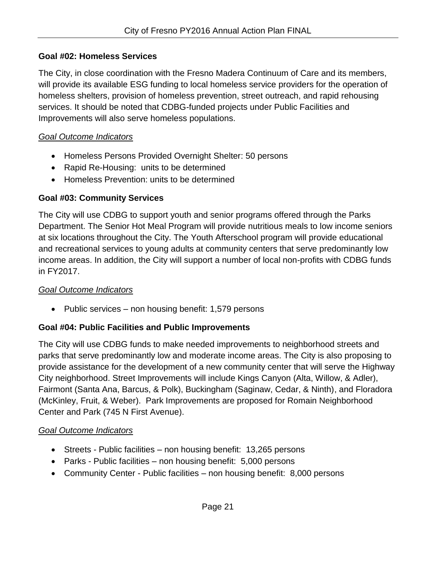### **Goal #02: Homeless Services**

The City, in close coordination with the Fresno Madera Continuum of Care and its members, will provide its available ESG funding to local homeless service providers for the operation of homeless shelters, provision of homeless prevention, street outreach, and rapid rehousing services. It should be noted that CDBG-funded projects under Public Facilities and Improvements will also serve homeless populations.

### *Goal Outcome Indicators*

- Homeless Persons Provided Overnight Shelter: 50 persons
- Rapid Re-Housing: units to be determined
- Homeless Prevention: units to be determined

### **Goal #03: Community Services**

The City will use CDBG to support youth and senior programs offered through the Parks Department. The Senior Hot Meal Program will provide nutritious meals to low income seniors at six locations throughout the City. The Youth Afterschool program will provide educational and recreational services to young adults at community centers that serve predominantly low income areas. In addition, the City will support a number of local non-profits with CDBG funds in FY2017.

### *Goal Outcome Indicators*

• Public services – non housing benefit:  $1,579$  persons

### **Goal #04: Public Facilities and Public Improvements**

The City will use CDBG funds to make needed improvements to neighborhood streets and parks that serve predominantly low and moderate income areas. The City is also proposing to provide assistance for the development of a new community center that will serve the Highway City neighborhood. Street Improvements will include Kings Canyon (Alta, Willow, & Adler), Fairmont (Santa Ana, Barcus, & Polk), Buckingham (Saginaw, Cedar, & Ninth), and Floradora (McKinley, Fruit, & Weber). Park Improvements are proposed for Romain Neighborhood Center and Park (745 N First Avenue).

### *Goal Outcome Indicators*

- Streets Public facilities non housing benefit: 13,265 persons
- $\bullet$  Parks Public facilities non housing benefit: 5,000 persons
- Community Center Public facilities non housing benefit: 8,000 persons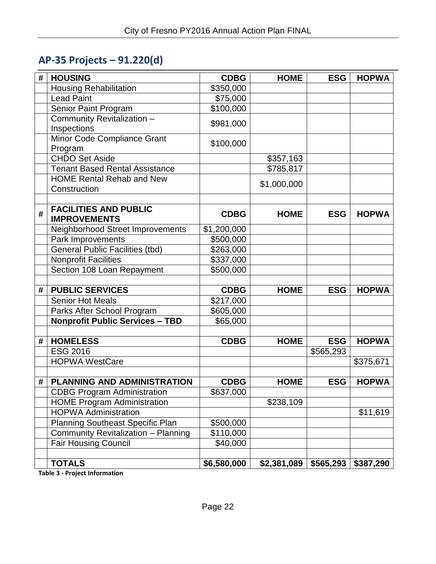## <span id="page-23-0"></span>**AP-35 Projects – 91.220(d)**

| # | <b>HOUSING</b>                                      | <b>CDBG</b> | <b>HOME</b> | <b>ESG</b> | <b>HOPWA</b> |
|---|-----------------------------------------------------|-------------|-------------|------------|--------------|
|   | <b>Housing Rehabilitation</b>                       | \$350,000   |             |            |              |
|   | <b>Lead Paint</b>                                   | \$75,000    |             |            |              |
|   | Senior Paint Program                                | \$100,000   |             |            |              |
|   | Community Revitalization -<br>Inspections           | \$981,000   |             |            |              |
|   | Minor Code Compliance Grant<br>Program              | \$100,000   |             |            |              |
|   | <b>CHDO Set Aside</b>                               |             | \$357,163   |            |              |
|   | <b>Tenant Based Rental Assistance</b>               |             | \$785,817   |            |              |
|   | <b>HOME Rental Rehab and New</b><br>Construction    |             | \$1,000,000 |            |              |
|   |                                                     |             |             |            |              |
| # | <b>FACILITIES AND PUBLIC</b><br><b>IMPROVEMENTS</b> | <b>CDBG</b> | <b>HOME</b> | <b>ESG</b> | <b>HOPWA</b> |
|   | Neighborhood Street Improvements                    | \$1,200,000 |             |            |              |
|   | Park Improvements                                   | \$500,000   |             |            |              |
|   | <b>General Public Facilities (tbd)</b>              | \$263,000   |             |            |              |
|   | <b>Nonprofit Facilities</b>                         | \$337,000   |             |            |              |
|   | Section 108 Loan Repayment                          | \$500,000   |             |            |              |
|   |                                                     |             |             |            |              |
| # | <b>PUBLIC SERVICES</b>                              | <b>CDBG</b> | <b>HOME</b> | <b>ESG</b> | <b>HOPWA</b> |
|   | <b>Senior Hot Meals</b>                             | \$217,000   |             |            |              |
|   | Parks After School Program                          | \$605,000   |             |            |              |
|   | <b>Nonprofit Public Services - TBD</b>              | \$65,000    |             |            |              |
| # | <b>HOMELESS</b>                                     | <b>CDBG</b> | <b>HOME</b> | <b>ESG</b> | <b>HOPWA</b> |
|   | <b>ESG 2016</b>                                     |             |             | \$565,293  |              |
|   | <b>HOPWA WestCare</b>                               |             |             |            | \$375,671    |
|   |                                                     |             |             |            |              |
| # | <b>PLANNING AND ADMINISTRATION</b>                  | <b>CDBG</b> | <b>HOME</b> | <b>ESG</b> | <b>HOPWA</b> |
|   | <b>CDBG Program Administration</b>                  | \$637,000   |             |            |              |
|   | <b>HOME Program Administration</b>                  |             | \$238,109   |            |              |
|   | <b>HOPWA Administration</b>                         |             |             |            | \$11,619     |
|   | <b>Planning Southeast Specific Plan</b>             | \$500,000   |             |            |              |
|   | Community Revitalization - Planning                 | \$110,000   |             |            |              |
|   | <b>Fair Housing Council</b>                         | \$40,000    |             |            |              |
|   | <b>TOTALS</b>                                       | \$6,580,000 | \$2,381,089 | \$565,293  | \$387,290    |

**Table 3 - Project Information**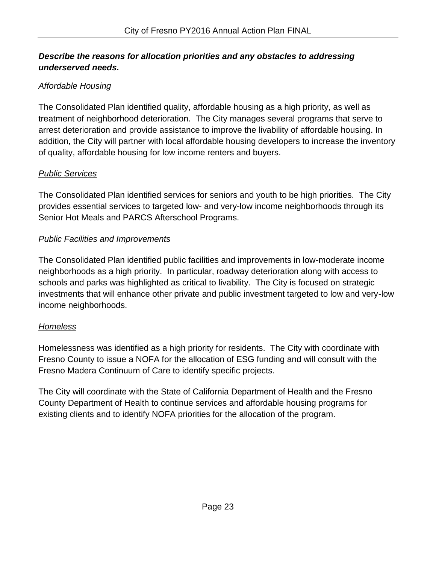### *Describe the reasons for allocation priorities and any obstacles to addressing underserved needs.*

### *Affordable Housing*

The Consolidated Plan identified quality, affordable housing as a high priority, as well as treatment of neighborhood deterioration. The City manages several programs that serve to arrest deterioration and provide assistance to improve the livability of affordable housing. In addition, the City will partner with local affordable housing developers to increase the inventory of quality, affordable housing for low income renters and buyers.

### *Public Services*

The Consolidated Plan identified services for seniors and youth to be high priorities. The City provides essential services to targeted low- and very-low income neighborhoods through its Senior Hot Meals and PARCS Afterschool Programs.

### *Public Facilities and Improvements*

The Consolidated Plan identified public facilities and improvements in low-moderate income neighborhoods as a high priority. In particular, roadway deterioration along with access to schools and parks was highlighted as critical to livability. The City is focused on strategic investments that will enhance other private and public investment targeted to low and very-low income neighborhoods.

### *Homeless*

Homelessness was identified as a high priority for residents. The City with coordinate with Fresno County to issue a NOFA for the allocation of ESG funding and will consult with the Fresno Madera Continuum of Care to identify specific projects.

The City will coordinate with the State of California Department of Health and the Fresno County Department of Health to continue services and affordable housing programs for existing clients and to identify NOFA priorities for the allocation of the program.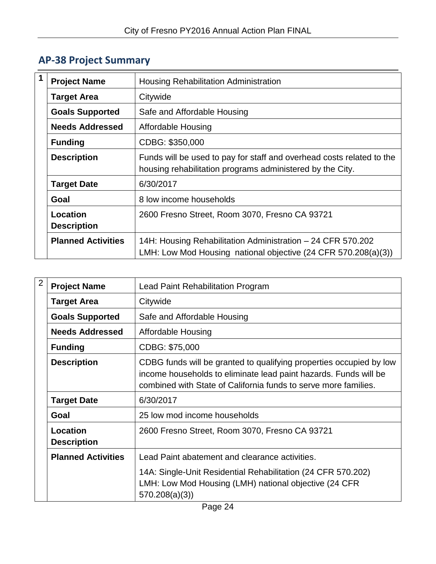## <span id="page-25-0"></span>**AP-38 Project Summary**

| 1 | <b>Project Name</b>            | <b>Housing Rehabilitation Administration</b>                                                                                       |
|---|--------------------------------|------------------------------------------------------------------------------------------------------------------------------------|
|   | <b>Target Area</b>             | Citywide                                                                                                                           |
|   | <b>Goals Supported</b>         | Safe and Affordable Housing                                                                                                        |
|   | <b>Needs Addressed</b>         | Affordable Housing                                                                                                                 |
|   | <b>Funding</b>                 | CDBG: \$350,000                                                                                                                    |
|   | <b>Description</b>             | Funds will be used to pay for staff and overhead costs related to the<br>housing rehabilitation programs administered by the City. |
|   | <b>Target Date</b>             | 6/30/2017                                                                                                                          |
|   | Goal                           | 8 low income households                                                                                                            |
|   | Location<br><b>Description</b> | 2600 Fresno Street, Room 3070, Fresno CA 93721                                                                                     |
|   | <b>Planned Activities</b>      | 14H: Housing Rehabilitation Administration – 24 CFR 570.202<br>LMH: Low Mod Housing national objective (24 CFR 570.208(a)(3))      |

| $\overline{2}$ | <b>Project Name</b>            | Lead Paint Rehabilitation Program                                                                                                                                                                          |
|----------------|--------------------------------|------------------------------------------------------------------------------------------------------------------------------------------------------------------------------------------------------------|
|                | <b>Target Area</b>             | Citywide                                                                                                                                                                                                   |
|                | <b>Goals Supported</b>         | Safe and Affordable Housing                                                                                                                                                                                |
|                | <b>Needs Addressed</b>         | <b>Affordable Housing</b>                                                                                                                                                                                  |
|                | <b>Funding</b>                 | CDBG: \$75,000                                                                                                                                                                                             |
|                | <b>Description</b>             | CDBG funds will be granted to qualifying properties occupied by low<br>income households to eliminate lead paint hazards. Funds will be<br>combined with State of California funds to serve more families. |
|                | <b>Target Date</b>             | 6/30/2017                                                                                                                                                                                                  |
|                | Goal                           | 25 low mod income households                                                                                                                                                                               |
|                | Location<br><b>Description</b> | 2600 Fresno Street, Room 3070, Fresno CA 93721                                                                                                                                                             |
|                | <b>Planned Activities</b>      | Lead Paint abatement and clearance activities.                                                                                                                                                             |
|                |                                | 14A: Single-Unit Residential Rehabilitation (24 CFR 570.202)<br>LMH: Low Mod Housing (LMH) national objective (24 CFR<br>570.208(a)(3)                                                                     |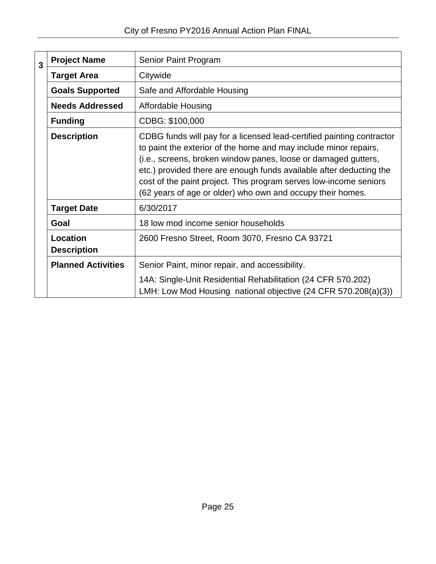| $\overline{3}$ | <b>Project Name</b>            | Senior Paint Program                                                                                                           |                                                                                                                                                                                                                                                                                                                                                                                                                       |
|----------------|--------------------------------|--------------------------------------------------------------------------------------------------------------------------------|-----------------------------------------------------------------------------------------------------------------------------------------------------------------------------------------------------------------------------------------------------------------------------------------------------------------------------------------------------------------------------------------------------------------------|
|                | <b>Target Area</b>             | Citywide                                                                                                                       |                                                                                                                                                                                                                                                                                                                                                                                                                       |
|                | <b>Goals Supported</b>         | Safe and Affordable Housing                                                                                                    |                                                                                                                                                                                                                                                                                                                                                                                                                       |
|                | <b>Needs Addressed</b>         | <b>Affordable Housing</b>                                                                                                      |                                                                                                                                                                                                                                                                                                                                                                                                                       |
|                | <b>Funding</b>                 | CDBG: \$100,000                                                                                                                |                                                                                                                                                                                                                                                                                                                                                                                                                       |
|                | <b>Description</b>             |                                                                                                                                | CDBG funds will pay for a licensed lead-certified painting contractor<br>to paint the exterior of the home and may include minor repairs,<br>(i.e., screens, broken window panes, loose or damaged gutters,<br>etc.) provided there are enough funds available after deducting the<br>cost of the paint project. This program serves low-income seniors<br>(62 years of age or older) who own and occupy their homes. |
|                | <b>Target Date</b>             | 6/30/2017                                                                                                                      |                                                                                                                                                                                                                                                                                                                                                                                                                       |
|                | Goal                           | 18 low mod income senior households                                                                                            |                                                                                                                                                                                                                                                                                                                                                                                                                       |
|                | Location<br><b>Description</b> | 2600 Fresno Street, Room 3070, Fresno CA 93721                                                                                 |                                                                                                                                                                                                                                                                                                                                                                                                                       |
|                | <b>Planned Activities</b>      | Senior Paint, minor repair, and accessibility.                                                                                 |                                                                                                                                                                                                                                                                                                                                                                                                                       |
|                |                                | 14A: Single-Unit Residential Rehabilitation (24 CFR 570.202)<br>LMH: Low Mod Housing national objective (24 CFR 570.208(a)(3)) |                                                                                                                                                                                                                                                                                                                                                                                                                       |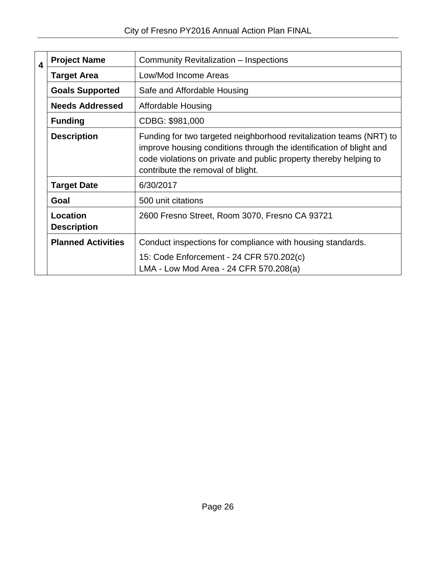|                         | <b>Project Name</b>            | Community Revitalization - Inspections                                                                                                                                                                                                               |
|-------------------------|--------------------------------|------------------------------------------------------------------------------------------------------------------------------------------------------------------------------------------------------------------------------------------------------|
| $\overline{\mathbf{4}}$ | <b>Target Area</b>             | Low/Mod Income Areas                                                                                                                                                                                                                                 |
|                         | <b>Goals Supported</b>         | Safe and Affordable Housing                                                                                                                                                                                                                          |
|                         | <b>Needs Addressed</b>         | <b>Affordable Housing</b>                                                                                                                                                                                                                            |
|                         | <b>Funding</b>                 | CDBG: \$981,000                                                                                                                                                                                                                                      |
|                         | <b>Description</b>             | Funding for two targeted neighborhood revitalization teams (NRT) to<br>improve housing conditions through the identification of blight and<br>code violations on private and public property thereby helping to<br>contribute the removal of blight. |
|                         | <b>Target Date</b>             | 6/30/2017                                                                                                                                                                                                                                            |
|                         | Goal                           | 500 unit citations                                                                                                                                                                                                                                   |
|                         | Location<br><b>Description</b> | 2600 Fresno Street, Room 3070, Fresno CA 93721                                                                                                                                                                                                       |
|                         | <b>Planned Activities</b>      | Conduct inspections for compliance with housing standards.                                                                                                                                                                                           |
|                         |                                | 15: Code Enforcement - 24 CFR 570.202(c)<br>LMA - Low Mod Area - 24 CFR 570.208(a)                                                                                                                                                                   |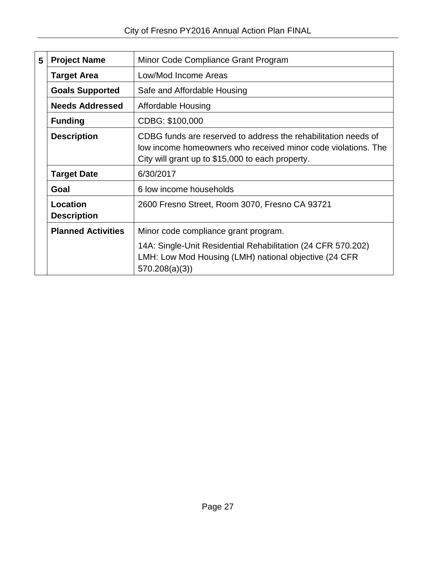| 5 | <b>Project Name</b>            | Minor Code Compliance Grant Program                                                                                                                                                 |
|---|--------------------------------|-------------------------------------------------------------------------------------------------------------------------------------------------------------------------------------|
|   | <b>Target Area</b>             | Low/Mod Income Areas                                                                                                                                                                |
|   | <b>Goals Supported</b>         | Safe and Affordable Housing                                                                                                                                                         |
|   | <b>Needs Addressed</b>         | Affordable Housing                                                                                                                                                                  |
|   | <b>Funding</b>                 | CDBG: \$100,000                                                                                                                                                                     |
|   | <b>Description</b>             | CDBG funds are reserved to address the rehabilitation needs of<br>low income homeowners who received minor code violations. The<br>City will grant up to \$15,000 to each property. |
|   | <b>Target Date</b>             | 6/30/2017                                                                                                                                                                           |
|   | Goal                           | 6 low income households                                                                                                                                                             |
|   | Location<br><b>Description</b> | 2600 Fresno Street, Room 3070, Fresno CA 93721                                                                                                                                      |
|   | <b>Planned Activities</b>      | Minor code compliance grant program.                                                                                                                                                |
|   |                                | 14A: Single-Unit Residential Rehabilitation (24 CFR 570.202)<br>LMH: Low Mod Housing (LMH) national objective (24 CFR<br>570.208(a)(3)                                              |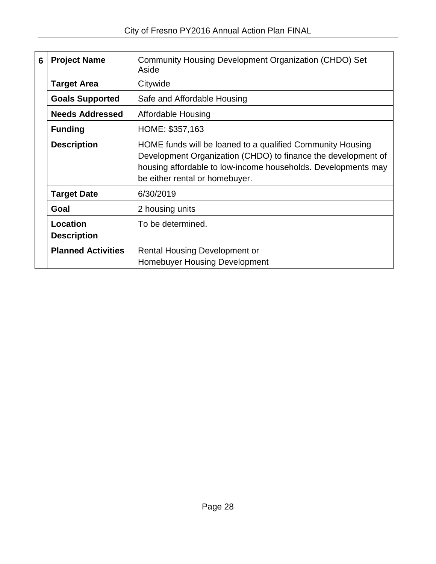| 6                                                     | <b>Project Name</b>            | Community Housing Development Organization (CHDO) Set<br>Aside                                                                                                                                                                 |
|-------------------------------------------------------|--------------------------------|--------------------------------------------------------------------------------------------------------------------------------------------------------------------------------------------------------------------------------|
|                                                       | <b>Target Area</b>             | Citywide                                                                                                                                                                                                                       |
| <b>Goals Supported</b><br>Safe and Affordable Housing |                                |                                                                                                                                                                                                                                |
| <b>Needs Addressed</b><br>Affordable Housing          |                                |                                                                                                                                                                                                                                |
|                                                       | <b>Funding</b>                 | HOME: \$357,163                                                                                                                                                                                                                |
|                                                       | <b>Description</b>             | HOME funds will be loaned to a qualified Community Housing<br>Development Organization (CHDO) to finance the development of<br>housing affordable to low-income households. Developments may<br>be either rental or homebuyer. |
|                                                       | <b>Target Date</b>             | 6/30/2019                                                                                                                                                                                                                      |
|                                                       | Goal                           | 2 housing units                                                                                                                                                                                                                |
|                                                       | Location<br><b>Description</b> | To be determined.                                                                                                                                                                                                              |
|                                                       | <b>Planned Activities</b>      | <b>Rental Housing Development or</b><br><b>Homebuyer Housing Development</b>                                                                                                                                                   |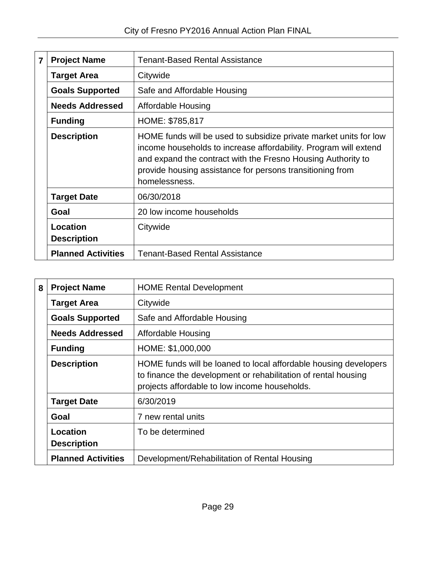| $\overline{7}$         | <b>Project Name</b>            | <b>Tenant-Based Rental Assistance</b>                                                                                                                                                                                                                                               |
|------------------------|--------------------------------|-------------------------------------------------------------------------------------------------------------------------------------------------------------------------------------------------------------------------------------------------------------------------------------|
|                        | <b>Target Area</b>             | Citywide                                                                                                                                                                                                                                                                            |
| <b>Goals Supported</b> |                                | Safe and Affordable Housing                                                                                                                                                                                                                                                         |
|                        | <b>Needs Addressed</b>         | Affordable Housing                                                                                                                                                                                                                                                                  |
|                        | <b>Funding</b>                 | HOME: \$785,817                                                                                                                                                                                                                                                                     |
|                        | <b>Description</b>             | HOME funds will be used to subsidize private market units for low<br>income households to increase affordability. Program will extend<br>and expand the contract with the Fresno Housing Authority to<br>provide housing assistance for persons transitioning from<br>homelessness. |
|                        | <b>Target Date</b>             | 06/30/2018                                                                                                                                                                                                                                                                          |
|                        | Goal                           | 20 low income households                                                                                                                                                                                                                                                            |
|                        | Location<br><b>Description</b> | Citywide                                                                                                                                                                                                                                                                            |
|                        | <b>Planned Activities</b>      | <b>Tenant-Based Rental Assistance</b>                                                                                                                                                                                                                                               |

| 8 | <b>Project Name</b>            | <b>HOME Rental Development</b>                                                                                                                                                      |
|---|--------------------------------|-------------------------------------------------------------------------------------------------------------------------------------------------------------------------------------|
|   | <b>Target Area</b>             | Citywide                                                                                                                                                                            |
|   | <b>Goals Supported</b>         | Safe and Affordable Housing                                                                                                                                                         |
|   | <b>Needs Addressed</b>         | Affordable Housing                                                                                                                                                                  |
|   | <b>Funding</b>                 | HOME: \$1,000,000                                                                                                                                                                   |
|   | <b>Description</b>             | HOME funds will be loaned to local affordable housing developers<br>to finance the development or rehabilitation of rental housing<br>projects affordable to low income households. |
|   | <b>Target Date</b>             | 6/30/2019                                                                                                                                                                           |
|   | Goal                           | 7 new rental units                                                                                                                                                                  |
|   | Location<br><b>Description</b> | To be determined                                                                                                                                                                    |
|   | <b>Planned Activities</b>      | Development/Rehabilitation of Rental Housing                                                                                                                                        |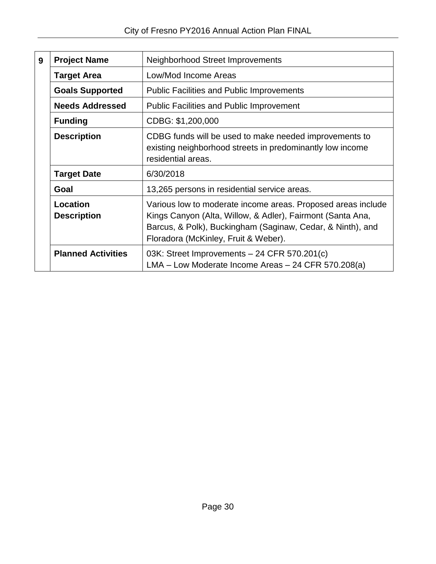| 9 | <b>Project Name</b>            | Neighborhood Street Improvements                                                                                                                                                                                                 |
|---|--------------------------------|----------------------------------------------------------------------------------------------------------------------------------------------------------------------------------------------------------------------------------|
|   | <b>Target Area</b>             | Low/Mod Income Areas                                                                                                                                                                                                             |
|   | <b>Goals Supported</b>         | <b>Public Facilities and Public Improvements</b>                                                                                                                                                                                 |
|   | <b>Needs Addressed</b>         | <b>Public Facilities and Public Improvement</b>                                                                                                                                                                                  |
|   | <b>Funding</b>                 | CDBG: \$1,200,000                                                                                                                                                                                                                |
|   | <b>Description</b>             | CDBG funds will be used to make needed improvements to<br>existing neighborhood streets in predominantly low income<br>residential areas.                                                                                        |
|   | <b>Target Date</b>             | 6/30/2018                                                                                                                                                                                                                        |
|   | Goal                           | 13,265 persons in residential service areas.                                                                                                                                                                                     |
|   | Location<br><b>Description</b> | Various low to moderate income areas. Proposed areas include<br>Kings Canyon (Alta, Willow, & Adler), Fairmont (Santa Ana,<br>Barcus, & Polk), Buckingham (Saginaw, Cedar, & Ninth), and<br>Floradora (McKinley, Fruit & Weber). |
|   | <b>Planned Activities</b>      | 03K: Street Improvements $-$ 24 CFR 570.201(c)<br>LMA - Low Moderate Income Areas - 24 CFR 570.208(a)                                                                                                                            |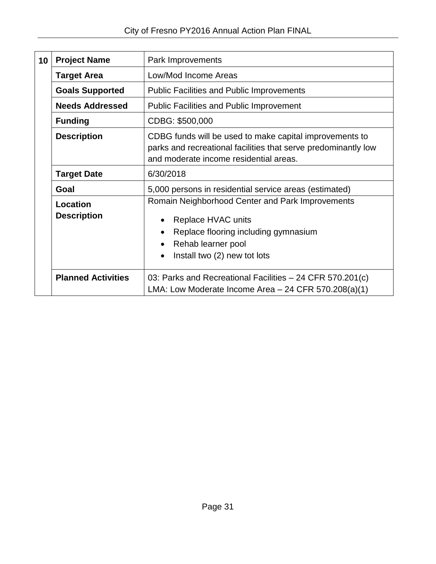| 10 | <b>Project Name</b>            | Park Improvements                                                                                                                                                                              |
|----|--------------------------------|------------------------------------------------------------------------------------------------------------------------------------------------------------------------------------------------|
|    | <b>Target Area</b>             | Low/Mod Income Areas                                                                                                                                                                           |
|    | <b>Goals Supported</b>         | <b>Public Facilities and Public Improvements</b>                                                                                                                                               |
|    | <b>Needs Addressed</b>         | <b>Public Facilities and Public Improvement</b>                                                                                                                                                |
|    | <b>Funding</b>                 | CDBG: \$500,000                                                                                                                                                                                |
|    | <b>Description</b>             | CDBG funds will be used to make capital improvements to<br>parks and recreational facilities that serve predominantly low<br>and moderate income residential areas.                            |
|    | <b>Target Date</b>             | 6/30/2018                                                                                                                                                                                      |
|    | Goal                           | 5,000 persons in residential service areas (estimated)                                                                                                                                         |
|    | Location<br><b>Description</b> | Romain Neighborhood Center and Park Improvements<br>Replace HVAC units<br>$\bullet$<br>Replace flooring including gymnasium<br>$\bullet$<br>Rehab learner pool<br>Install two (2) new tot lots |
|    | <b>Planned Activities</b>      | 03: Parks and Recreational Facilities – 24 CFR 570.201(c)<br>LMA: Low Moderate Income Area - 24 CFR 570.208(a)(1)                                                                              |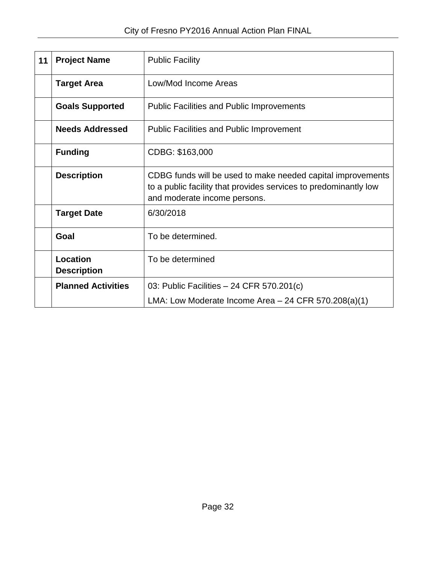| 11 | <b>Project Name</b>            | <b>Public Facility</b>                                                                                                                                          |
|----|--------------------------------|-----------------------------------------------------------------------------------------------------------------------------------------------------------------|
|    | <b>Target Area</b>             | Low/Mod Income Areas                                                                                                                                            |
|    | <b>Goals Supported</b>         | <b>Public Facilities and Public Improvements</b>                                                                                                                |
|    | <b>Needs Addressed</b>         | <b>Public Facilities and Public Improvement</b>                                                                                                                 |
|    | <b>Funding</b>                 | CDBG: \$163,000                                                                                                                                                 |
|    | <b>Description</b>             | CDBG funds will be used to make needed capital improvements<br>to a public facility that provides services to predominantly low<br>and moderate income persons. |
|    | <b>Target Date</b>             | 6/30/2018                                                                                                                                                       |
|    | Goal                           | To be determined.                                                                                                                                               |
|    | Location<br><b>Description</b> | To be determined                                                                                                                                                |
|    | <b>Planned Activities</b>      | 03: Public Facilities - 24 CFR 570.201(c)                                                                                                                       |
|    |                                | LMA: Low Moderate Income Area $-$ 24 CFR 570.208(a)(1)                                                                                                          |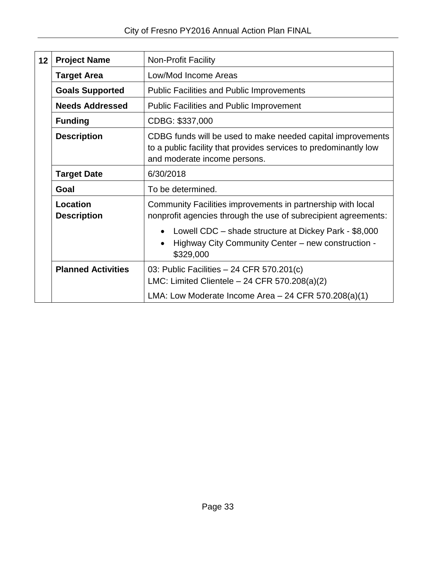| 12 | <b>Project Name</b>            | Non-Profit Facility                                                                                                                                             |
|----|--------------------------------|-----------------------------------------------------------------------------------------------------------------------------------------------------------------|
|    | <b>Target Area</b>             | Low/Mod Income Areas                                                                                                                                            |
|    | <b>Goals Supported</b>         | <b>Public Facilities and Public Improvements</b>                                                                                                                |
|    | <b>Needs Addressed</b>         | <b>Public Facilities and Public Improvement</b>                                                                                                                 |
|    | <b>Funding</b>                 | CDBG: \$337,000                                                                                                                                                 |
|    | <b>Description</b>             | CDBG funds will be used to make needed capital improvements<br>to a public facility that provides services to predominantly low<br>and moderate income persons. |
|    | <b>Target Date</b>             | 6/30/2018                                                                                                                                                       |
|    | Goal                           | To be determined.                                                                                                                                               |
|    | Location<br><b>Description</b> | Community Facilities improvements in partnership with local<br>nonprofit agencies through the use of subrecipient agreements:                                   |
|    |                                | Lowell CDC – shade structure at Dickey Park - \$8,000<br>$\bullet$<br>Highway City Community Center - new construction -<br>$\bullet$<br>\$329,000              |
|    | <b>Planned Activities</b>      | 03: Public Facilities - 24 CFR 570.201(c)<br>LMC: Limited Clientele $-24$ CFR 570.208(a)(2)                                                                     |
|    |                                | LMA: Low Moderate Income Area $-$ 24 CFR 570.208(a)(1)                                                                                                          |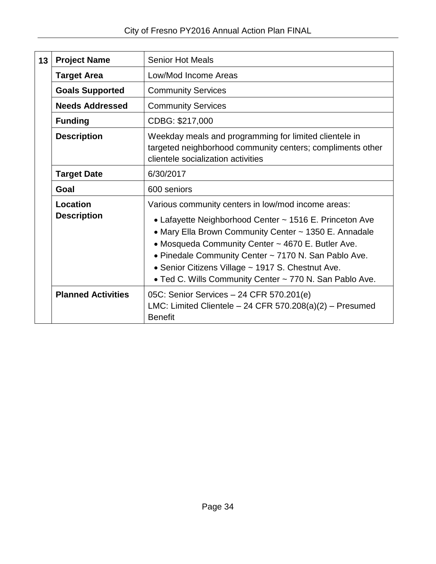| 13 | <b>Project Name</b>            | <b>Senior Hot Meals</b>                                                                                                                                                                                                                                                                                                                                                                             |
|----|--------------------------------|-----------------------------------------------------------------------------------------------------------------------------------------------------------------------------------------------------------------------------------------------------------------------------------------------------------------------------------------------------------------------------------------------------|
|    | <b>Target Area</b>             | Low/Mod Income Areas                                                                                                                                                                                                                                                                                                                                                                                |
|    | <b>Goals Supported</b>         | <b>Community Services</b>                                                                                                                                                                                                                                                                                                                                                                           |
|    | <b>Needs Addressed</b>         | <b>Community Services</b>                                                                                                                                                                                                                                                                                                                                                                           |
|    | <b>Funding</b>                 | CDBG: \$217,000                                                                                                                                                                                                                                                                                                                                                                                     |
|    | <b>Description</b>             | Weekday meals and programming for limited clientele in<br>targeted neighborhood community centers; compliments other<br>clientele socialization activities                                                                                                                                                                                                                                          |
|    | <b>Target Date</b>             | 6/30/2017                                                                                                                                                                                                                                                                                                                                                                                           |
|    | Goal                           | 600 seniors                                                                                                                                                                                                                                                                                                                                                                                         |
|    | Location<br><b>Description</b> | Various community centers in low/mod income areas:<br>• Lafayette Neighborhood Center ~ 1516 E. Princeton Ave<br>• Mary Ella Brown Community Center ~ 1350 E. Annadale<br>• Mosqueda Community Center ~ 4670 E. Butler Ave.<br>• Pinedale Community Center ~ 7170 N. San Pablo Ave.<br>• Senior Citizens Village ~ 1917 S. Chestnut Ave.<br>• Ted C. Wills Community Center ~ 770 N. San Pablo Ave. |
|    | <b>Planned Activities</b>      | 05C: Senior Services - 24 CFR 570.201(e)<br>LMC: Limited Clientele $-$ 24 CFR 570.208(a)(2) $-$ Presumed<br><b>Benefit</b>                                                                                                                                                                                                                                                                          |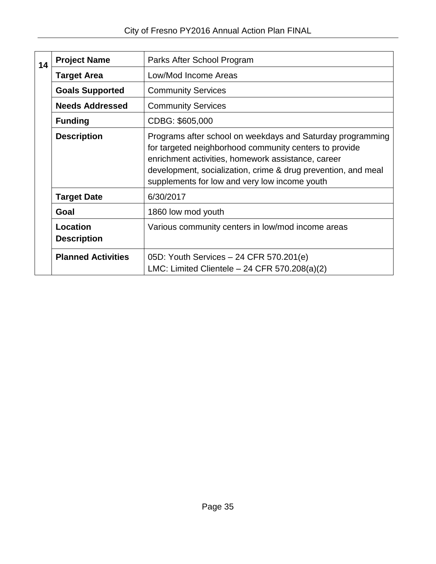| 14 | <b>Project Name</b>            | Parks After School Program                                                                                                                                                                                                                                                                   |
|----|--------------------------------|----------------------------------------------------------------------------------------------------------------------------------------------------------------------------------------------------------------------------------------------------------------------------------------------|
|    | <b>Target Area</b>             | Low/Mod Income Areas                                                                                                                                                                                                                                                                         |
|    | <b>Goals Supported</b>         | <b>Community Services</b>                                                                                                                                                                                                                                                                    |
|    | <b>Needs Addressed</b>         | <b>Community Services</b>                                                                                                                                                                                                                                                                    |
|    | <b>Funding</b>                 | CDBG: \$605,000                                                                                                                                                                                                                                                                              |
|    | <b>Description</b>             | Programs after school on weekdays and Saturday programming<br>for targeted neighborhood community centers to provide<br>enrichment activities, homework assistance, career<br>development, socialization, crime & drug prevention, and meal<br>supplements for low and very low income youth |
|    | <b>Target Date</b>             | 6/30/2017                                                                                                                                                                                                                                                                                    |
|    | Goal                           | 1860 low mod youth                                                                                                                                                                                                                                                                           |
|    | Location<br><b>Description</b> | Various community centers in low/mod income areas                                                                                                                                                                                                                                            |
|    | <b>Planned Activities</b>      | 05D: Youth Services - 24 CFR 570.201(e)<br>LMC: Limited Clientele $-24$ CFR 570.208(a)(2)                                                                                                                                                                                                    |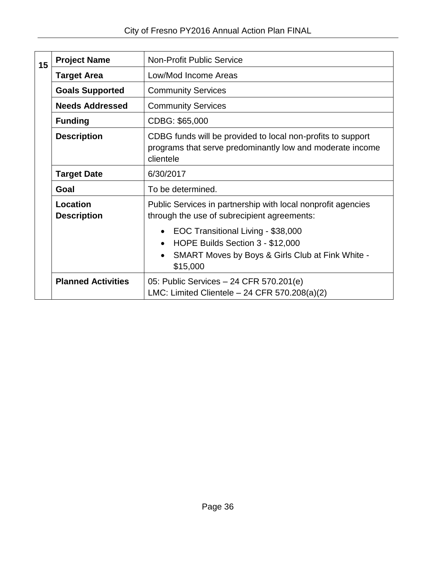| 15 | <b>Project Name</b>            | <b>Non-Profit Public Service</b>                                                                                                                                              |
|----|--------------------------------|-------------------------------------------------------------------------------------------------------------------------------------------------------------------------------|
|    | <b>Target Area</b>             | Low/Mod Income Areas                                                                                                                                                          |
|    | <b>Goals Supported</b>         | <b>Community Services</b>                                                                                                                                                     |
|    | <b>Needs Addressed</b>         | <b>Community Services</b>                                                                                                                                                     |
|    | <b>Funding</b>                 | CDBG: \$65,000                                                                                                                                                                |
|    | <b>Description</b>             | CDBG funds will be provided to local non-profits to support<br>programs that serve predominantly low and moderate income<br>clientele                                         |
|    | <b>Target Date</b>             | 6/30/2017                                                                                                                                                                     |
|    | Goal                           | To be determined.                                                                                                                                                             |
|    | Location<br><b>Description</b> | Public Services in partnership with local nonprofit agencies<br>through the use of subrecipient agreements:                                                                   |
|    |                                | EOC Transitional Living - \$38,000<br>$\bullet$<br>HOPE Builds Section 3 - \$12,000<br>$\bullet$<br>SMART Moves by Boys & Girls Club at Fink White -<br>$\bullet$<br>\$15,000 |
|    | <b>Planned Activities</b>      | 05: Public Services - 24 CFR 570.201(e)<br>LMC: Limited Clientele $-24$ CFR 570.208(a)(2)                                                                                     |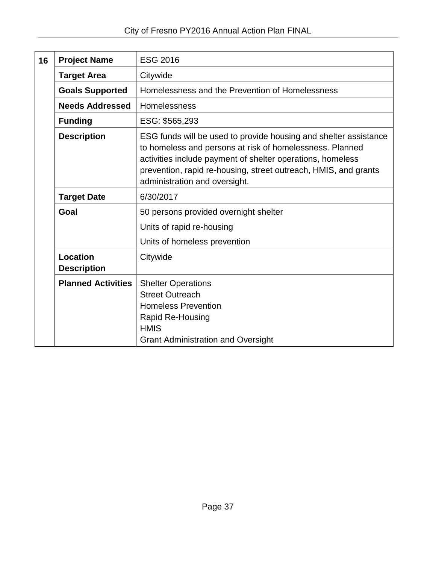| 16 | <b>Project Name</b>                   | <b>ESG 2016</b>                                                                                                                                                                                                                                                                                |
|----|---------------------------------------|------------------------------------------------------------------------------------------------------------------------------------------------------------------------------------------------------------------------------------------------------------------------------------------------|
|    | <b>Target Area</b>                    | Citywide                                                                                                                                                                                                                                                                                       |
|    | <b>Goals Supported</b>                | Homelessness and the Prevention of Homelessness                                                                                                                                                                                                                                                |
|    | <b>Needs Addressed</b>                | Homelessness                                                                                                                                                                                                                                                                                   |
|    | <b>Funding</b>                        | ESG: \$565,293                                                                                                                                                                                                                                                                                 |
|    | <b>Description</b>                    | ESG funds will be used to provide housing and shelter assistance<br>to homeless and persons at risk of homelessness. Planned<br>activities include payment of shelter operations, homeless<br>prevention, rapid re-housing, street outreach, HMIS, and grants<br>administration and oversight. |
|    | <b>Target Date</b>                    | 6/30/2017                                                                                                                                                                                                                                                                                      |
|    | Goal                                  | 50 persons provided overnight shelter<br>Units of rapid re-housing<br>Units of homeless prevention                                                                                                                                                                                             |
|    | <b>Location</b><br><b>Description</b> | Citywide                                                                                                                                                                                                                                                                                       |
|    | <b>Planned Activities</b>             | <b>Shelter Operations</b><br><b>Street Outreach</b><br><b>Homeless Prevention</b><br>Rapid Re-Housing<br><b>HMIS</b><br><b>Grant Administration and Oversight</b>                                                                                                                              |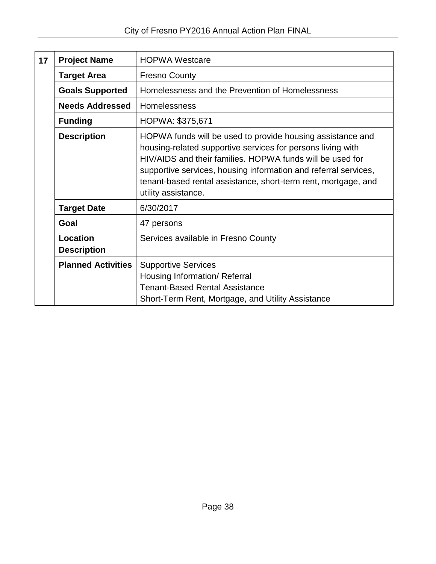| 17 | <b>Project Name</b>            | <b>HOPWA Westcare</b>                                                                                                                                                                                                                                                                                                                              |
|----|--------------------------------|----------------------------------------------------------------------------------------------------------------------------------------------------------------------------------------------------------------------------------------------------------------------------------------------------------------------------------------------------|
|    | <b>Target Area</b>             | <b>Fresno County</b>                                                                                                                                                                                                                                                                                                                               |
|    | <b>Goals Supported</b>         | Homelessness and the Prevention of Homelessness                                                                                                                                                                                                                                                                                                    |
|    | <b>Needs Addressed</b>         | Homelessness                                                                                                                                                                                                                                                                                                                                       |
|    | <b>Funding</b>                 | HOPWA: \$375,671                                                                                                                                                                                                                                                                                                                                   |
|    | <b>Description</b>             | HOPWA funds will be used to provide housing assistance and<br>housing-related supportive services for persons living with<br>HIV/AIDS and their families. HOPWA funds will be used for<br>supportive services, housing information and referral services,<br>tenant-based rental assistance, short-term rent, mortgage, and<br>utility assistance. |
|    | <b>Target Date</b>             | 6/30/2017                                                                                                                                                                                                                                                                                                                                          |
|    | Goal                           | 47 persons                                                                                                                                                                                                                                                                                                                                         |
|    | Location<br><b>Description</b> | Services available in Fresno County                                                                                                                                                                                                                                                                                                                |
|    | <b>Planned Activities</b>      | <b>Supportive Services</b><br>Housing Information/ Referral<br><b>Tenant-Based Rental Assistance</b><br>Short-Term Rent, Mortgage, and Utility Assistance                                                                                                                                                                                          |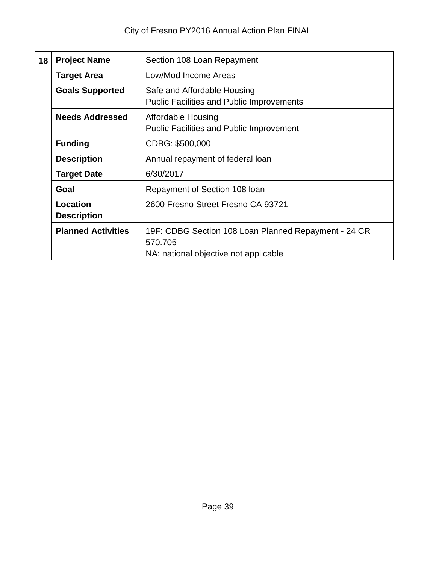| 18 | <b>Project Name</b>            | Section 108 Loan Repayment                                                                               |
|----|--------------------------------|----------------------------------------------------------------------------------------------------------|
|    | <b>Target Area</b>             | Low/Mod Income Areas                                                                                     |
|    | <b>Goals Supported</b>         | Safe and Affordable Housing<br><b>Public Facilities and Public Improvements</b>                          |
|    | <b>Needs Addressed</b>         | Affordable Housing<br><b>Public Facilities and Public Improvement</b>                                    |
|    | <b>Funding</b>                 | CDBG: \$500,000                                                                                          |
|    | <b>Description</b>             | Annual repayment of federal loan                                                                         |
|    | <b>Target Date</b>             | 6/30/2017                                                                                                |
|    | Goal                           | Repayment of Section 108 loan                                                                            |
|    | Location<br><b>Description</b> | 2600 Fresno Street Fresno CA 93721                                                                       |
|    | <b>Planned Activities</b>      | 19F: CDBG Section 108 Loan Planned Repayment - 24 CR<br>570.705<br>NA: national objective not applicable |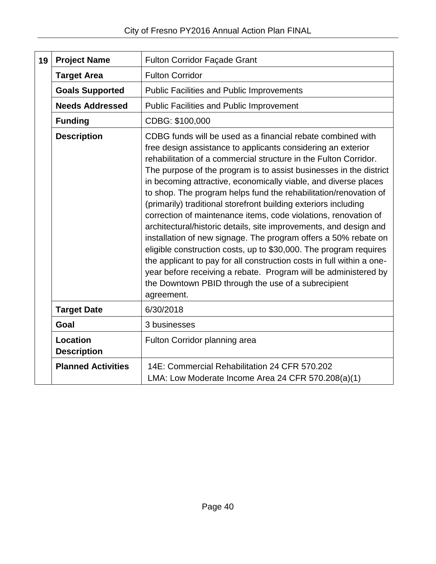| 19 | <b>Project Name</b>                   | <b>Fulton Corridor Façade Grant</b>                                                                                                                                                                                                                                                                                                                                                                                                                                                                                                                                                                                                                                                                                                                                                                                                                                                                                                                                              |
|----|---------------------------------------|----------------------------------------------------------------------------------------------------------------------------------------------------------------------------------------------------------------------------------------------------------------------------------------------------------------------------------------------------------------------------------------------------------------------------------------------------------------------------------------------------------------------------------------------------------------------------------------------------------------------------------------------------------------------------------------------------------------------------------------------------------------------------------------------------------------------------------------------------------------------------------------------------------------------------------------------------------------------------------|
|    | <b>Target Area</b>                    | <b>Fulton Corridor</b>                                                                                                                                                                                                                                                                                                                                                                                                                                                                                                                                                                                                                                                                                                                                                                                                                                                                                                                                                           |
|    | <b>Goals Supported</b>                | <b>Public Facilities and Public Improvements</b>                                                                                                                                                                                                                                                                                                                                                                                                                                                                                                                                                                                                                                                                                                                                                                                                                                                                                                                                 |
|    | <b>Needs Addressed</b>                | <b>Public Facilities and Public Improvement</b>                                                                                                                                                                                                                                                                                                                                                                                                                                                                                                                                                                                                                                                                                                                                                                                                                                                                                                                                  |
|    | <b>Funding</b>                        | CDBG: \$100,000                                                                                                                                                                                                                                                                                                                                                                                                                                                                                                                                                                                                                                                                                                                                                                                                                                                                                                                                                                  |
|    | <b>Description</b>                    | CDBG funds will be used as a financial rebate combined with<br>free design assistance to applicants considering an exterior<br>rehabilitation of a commercial structure in the Fulton Corridor.<br>The purpose of the program is to assist businesses in the district<br>in becoming attractive, economically viable, and diverse places<br>to shop. The program helps fund the rehabilitation/renovation of<br>(primarily) traditional storefront building exteriors including<br>correction of maintenance items, code violations, renovation of<br>architectural/historic details, site improvements, and design and<br>installation of new signage. The program offers a 50% rebate on<br>eligible construction costs, up to \$30,000. The program requires<br>the applicant to pay for all construction costs in full within a one-<br>year before receiving a rebate. Program will be administered by<br>the Downtown PBID through the use of a subrecipient<br>agreement. |
|    | <b>Target Date</b>                    | 6/30/2018                                                                                                                                                                                                                                                                                                                                                                                                                                                                                                                                                                                                                                                                                                                                                                                                                                                                                                                                                                        |
|    | Goal                                  | 3 businesses                                                                                                                                                                                                                                                                                                                                                                                                                                                                                                                                                                                                                                                                                                                                                                                                                                                                                                                                                                     |
|    | <b>Location</b><br><b>Description</b> | Fulton Corridor planning area                                                                                                                                                                                                                                                                                                                                                                                                                                                                                                                                                                                                                                                                                                                                                                                                                                                                                                                                                    |
|    | <b>Planned Activities</b>             | 14E: Commercial Rehabilitation 24 CFR 570.202<br>LMA: Low Moderate Income Area 24 CFR 570.208(a)(1)                                                                                                                                                                                                                                                                                                                                                                                                                                                                                                                                                                                                                                                                                                                                                                                                                                                                              |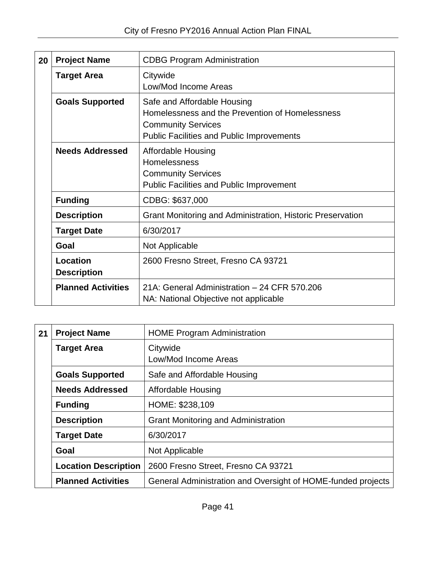| 20 | <b>Project Name</b>            | <b>CDBG Program Administration</b>                                                                                                                              |
|----|--------------------------------|-----------------------------------------------------------------------------------------------------------------------------------------------------------------|
|    | <b>Target Area</b>             | Citywide                                                                                                                                                        |
|    |                                | Low/Mod Income Areas                                                                                                                                            |
|    | <b>Goals Supported</b>         | Safe and Affordable Housing<br>Homelessness and the Prevention of Homelessness<br><b>Community Services</b><br><b>Public Facilities and Public Improvements</b> |
|    | <b>Needs Addressed</b>         | Affordable Housing<br>Homelessness<br><b>Community Services</b>                                                                                                 |
|    |                                | <b>Public Facilities and Public Improvement</b>                                                                                                                 |
|    | <b>Funding</b>                 | CDBG: \$637,000                                                                                                                                                 |
|    | <b>Description</b>             | Grant Monitoring and Administration, Historic Preservation                                                                                                      |
|    | <b>Target Date</b>             | 6/30/2017                                                                                                                                                       |
|    | Goal                           | Not Applicable                                                                                                                                                  |
|    | Location<br><b>Description</b> | 2600 Fresno Street, Fresno CA 93721                                                                                                                             |
|    | <b>Planned Activities</b>      | 21A: General Administration - 24 CFR 570.206<br>NA: National Objective not applicable                                                                           |

| 21 | <b>Project Name</b>         | <b>HOME Program Administration</b>                           |
|----|-----------------------------|--------------------------------------------------------------|
|    | <b>Target Area</b>          | Citywide                                                     |
|    |                             | Low/Mod Income Areas                                         |
|    | <b>Goals Supported</b>      | Safe and Affordable Housing                                  |
|    | <b>Needs Addressed</b>      | Affordable Housing                                           |
|    | <b>Funding</b>              | HOME: \$238,109                                              |
|    | <b>Description</b>          | <b>Grant Monitoring and Administration</b>                   |
|    | <b>Target Date</b>          | 6/30/2017                                                    |
|    | Goal                        | Not Applicable                                               |
|    | <b>Location Description</b> | 2600 Fresno Street, Fresno CA 93721                          |
|    | <b>Planned Activities</b>   | General Administration and Oversight of HOME-funded projects |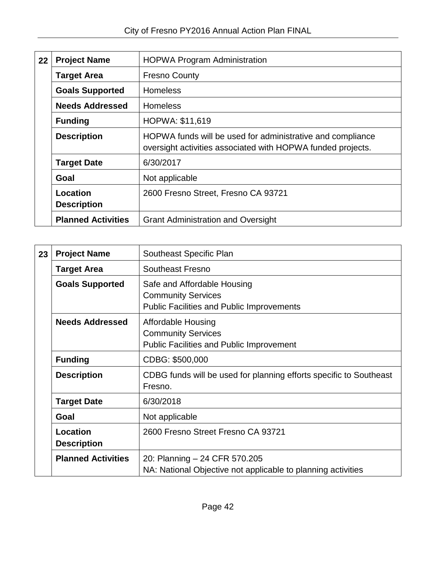| 22 | <b>Project Name</b>       | <b>HOPWA Program Administration</b>                                                                                       |
|----|---------------------------|---------------------------------------------------------------------------------------------------------------------------|
|    | <b>Target Area</b>        | <b>Fresno County</b>                                                                                                      |
|    | <b>Goals Supported</b>    | <b>Homeless</b>                                                                                                           |
|    | <b>Needs Addressed</b>    | <b>Homeless</b>                                                                                                           |
|    | <b>Funding</b>            | HOPWA: \$11,619                                                                                                           |
|    | <b>Description</b>        | HOPWA funds will be used for administrative and compliance<br>oversight activities associated with HOPWA funded projects. |
|    | <b>Target Date</b>        | 6/30/2017                                                                                                                 |
|    | Goal                      | Not applicable                                                                                                            |
|    | Location                  | 2600 Fresno Street, Fresno CA 93721                                                                                       |
|    | <b>Description</b>        |                                                                                                                           |
|    | <b>Planned Activities</b> | <b>Grant Administration and Oversight</b>                                                                                 |

| 23 | <b>Project Name</b>            | Southeast Specific Plan                                                                                      |
|----|--------------------------------|--------------------------------------------------------------------------------------------------------------|
|    | <b>Target Area</b>             | <b>Southeast Fresno</b>                                                                                      |
|    | <b>Goals Supported</b>         | Safe and Affordable Housing<br><b>Community Services</b><br><b>Public Facilities and Public Improvements</b> |
|    | <b>Needs Addressed</b>         | Affordable Housing<br><b>Community Services</b><br><b>Public Facilities and Public Improvement</b>           |
|    | <b>Funding</b>                 | CDBG: \$500,000                                                                                              |
|    | <b>Description</b>             | CDBG funds will be used for planning efforts specific to Southeast<br>Fresno.                                |
|    | <b>Target Date</b>             | 6/30/2018                                                                                                    |
|    | Goal                           | Not applicable                                                                                               |
|    | Location<br><b>Description</b> | 2600 Fresno Street Fresno CA 93721                                                                           |
|    | <b>Planned Activities</b>      | 20: Planning - 24 CFR 570.205<br>NA: National Objective not applicable to planning activities                |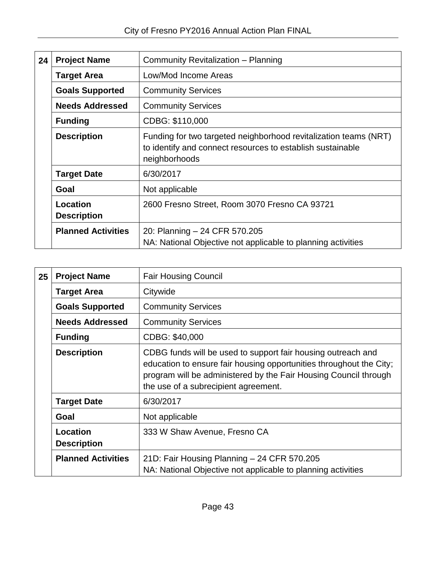| 24 | <b>Project Name</b>            | Community Revitalization - Planning                                                                                                             |
|----|--------------------------------|-------------------------------------------------------------------------------------------------------------------------------------------------|
|    | <b>Target Area</b>             | Low/Mod Income Areas                                                                                                                            |
|    | <b>Goals Supported</b>         | <b>Community Services</b>                                                                                                                       |
|    | <b>Needs Addressed</b>         | <b>Community Services</b>                                                                                                                       |
|    | <b>Funding</b>                 | CDBG: \$110,000                                                                                                                                 |
|    | <b>Description</b>             | Funding for two targeted neighborhood revitalization teams (NRT)<br>to identify and connect resources to establish sustainable<br>neighborhoods |
|    | <b>Target Date</b>             | 6/30/2017                                                                                                                                       |
|    | Goal                           | Not applicable                                                                                                                                  |
|    | Location<br><b>Description</b> | 2600 Fresno Street, Room 3070 Fresno CA 93721                                                                                                   |
|    | <b>Planned Activities</b>      | 20: Planning - 24 CFR 570.205<br>NA: National Objective not applicable to planning activities                                                   |

| 25 | <b>Project Name</b>            | <b>Fair Housing Council</b>                                                                                                                                                                                                                     |
|----|--------------------------------|-------------------------------------------------------------------------------------------------------------------------------------------------------------------------------------------------------------------------------------------------|
|    | <b>Target Area</b>             | Citywide                                                                                                                                                                                                                                        |
|    | <b>Goals Supported</b>         | <b>Community Services</b>                                                                                                                                                                                                                       |
|    | <b>Needs Addressed</b>         | <b>Community Services</b>                                                                                                                                                                                                                       |
|    | <b>Funding</b>                 | CDBG: \$40,000                                                                                                                                                                                                                                  |
|    | <b>Description</b>             | CDBG funds will be used to support fair housing outreach and<br>education to ensure fair housing opportunities throughout the City;<br>program will be administered by the Fair Housing Council through<br>the use of a subrecipient agreement. |
|    | <b>Target Date</b>             | 6/30/2017                                                                                                                                                                                                                                       |
|    | Goal                           | Not applicable                                                                                                                                                                                                                                  |
|    | Location<br><b>Description</b> | 333 W Shaw Avenue, Fresno CA                                                                                                                                                                                                                    |
|    | <b>Planned Activities</b>      | 21D: Fair Housing Planning - 24 CFR 570.205<br>NA: National Objective not applicable to planning activities                                                                                                                                     |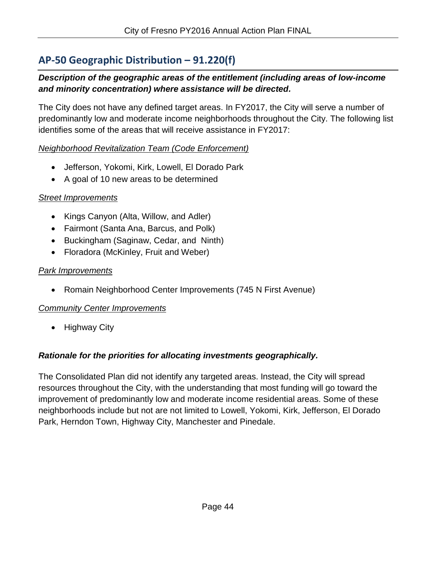## <span id="page-45-0"></span>**AP-50 Geographic Distribution – 91.220(f)**

### *Description of the geographic areas of the entitlement (including areas of low-income and minority concentration) where assistance will be directed.*

The City does not have any defined target areas. In FY2017, the City will serve a number of predominantly low and moderate income neighborhoods throughout the City. The following list identifies some of the areas that will receive assistance in FY2017:

### *Neighborhood Revitalization Team (Code Enforcement)*

- Jefferson, Yokomi, Kirk, Lowell, El Dorado Park
- A goal of 10 new areas to be determined

### *Street Improvements*

- Kings Canyon (Alta, Willow, and Adler)
- Fairmont (Santa Ana, Barcus, and Polk)
- Buckingham (Saginaw, Cedar, and Ninth)
- Floradora (McKinley, Fruit and Weber)

### *Park Improvements*

Romain Neighborhood Center Improvements (745 N First Avenue)

### *Community Center Improvements*

• Highway City

### *Rationale for the priorities for allocating investments geographically.*

The Consolidated Plan did not identify any targeted areas. Instead, the City will spread resources throughout the City, with the understanding that most funding will go toward the improvement of predominantly low and moderate income residential areas. Some of these neighborhoods include but not are not limited to Lowell, Yokomi, Kirk, Jefferson, El Dorado Park, Herndon Town, Highway City, Manchester and Pinedale.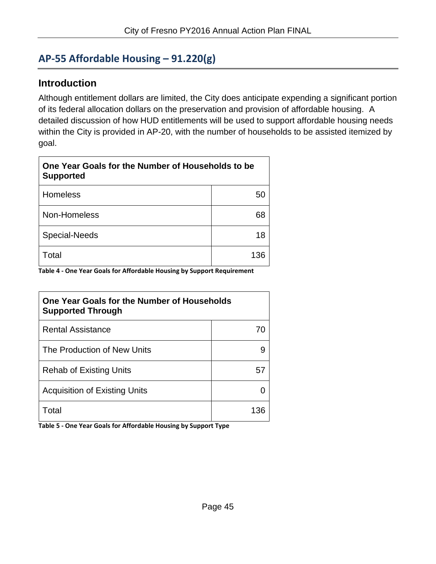## <span id="page-46-0"></span>**AP-55 Affordable Housing – 91.220(g)**

### **Introduction**

Although entitlement dollars are limited, the City does anticipate expending a significant portion of its federal allocation dollars on the preservation and provision of affordable housing. A detailed discussion of how HUD entitlements will be used to support affordable housing needs within the City is provided in AP-20, with the number of households to be assisted itemized by goal.

| One Year Goals for the Number of Households to be<br><b>Supported</b> |     |
|-----------------------------------------------------------------------|-----|
| <b>Homeless</b>                                                       | 5() |
| Non-Homeless                                                          | 68  |
| Special-Needs                                                         | 18  |
| Total                                                                 | 136 |

**Table 4 - One Year Goals for Affordable Housing by Support Requirement**

| One Year Goals for the Number of Households<br><b>Supported Through</b> |     |
|-------------------------------------------------------------------------|-----|
| <b>Rental Assistance</b>                                                |     |
| The Production of New Units                                             |     |
| Rehab of Existing Units                                                 |     |
| Acquisition of Existing Units                                           |     |
| Total                                                                   | 136 |

**Table 5 - One Year Goals for Affordable Housing by Support Type**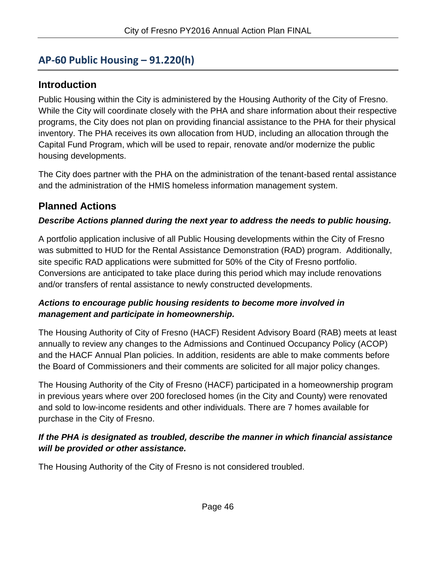## <span id="page-47-0"></span>**AP-60 Public Housing – 91.220(h)**

### **Introduction**

Public Housing within the City is administered by the Housing Authority of the City of Fresno. While the City will coordinate closely with the PHA and share information about their respective programs, the City does not plan on providing financial assistance to the PHA for their physical inventory. The PHA receives its own allocation from HUD, including an allocation through the Capital Fund Program, which will be used to repair, renovate and/or modernize the public housing developments.

The City does partner with the PHA on the administration of the tenant-based rental assistance and the administration of the HMIS homeless information management system.

### **Planned Actions**

### *Describe Actions planned during the next year to address the needs to public housing.*

A portfolio application inclusive of all Public Housing developments within the City of Fresno was submitted to HUD for the Rental Assistance Demonstration (RAD) program. Additionally, site specific RAD applications were submitted for 50% of the City of Fresno portfolio. Conversions are anticipated to take place during this period which may include renovations and/or transfers of rental assistance to newly constructed developments.

### *Actions to encourage public housing residents to become more involved in management and participate in homeownership.*

The Housing Authority of City of Fresno (HACF) Resident Advisory Board (RAB) meets at least annually to review any changes to the Admissions and Continued Occupancy Policy (ACOP) and the HACF Annual Plan policies. In addition, residents are able to make comments before the Board of Commissioners and their comments are solicited for all major policy changes.

The Housing Authority of the City of Fresno (HACF) participated in a homeownership program in previous years where over 200 foreclosed homes (in the City and County) were renovated and sold to low-income residents and other individuals. There are 7 homes available for purchase in the City of Fresno.

### *If the PHA is designated as troubled, describe the manner in which financial assistance will be provided or other assistance.*

The Housing Authority of the City of Fresno is not considered troubled.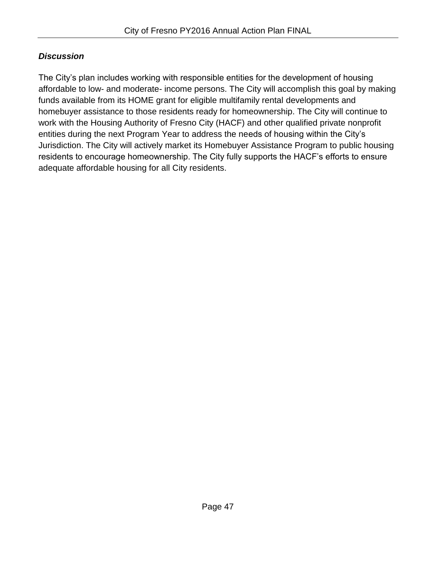### *Discussion*

The City's plan includes working with responsible entities for the development of housing affordable to low- and moderate- income persons. The City will accomplish this goal by making funds available from its HOME grant for eligible multifamily rental developments and homebuyer assistance to those residents ready for homeownership. The City will continue to work with the Housing Authority of Fresno City (HACF) and other qualified private nonprofit entities during the next Program Year to address the needs of housing within the City's Jurisdiction. The City will actively market its Homebuyer Assistance Program to public housing residents to encourage homeownership. The City fully supports the HACF's efforts to ensure adequate affordable housing for all City residents.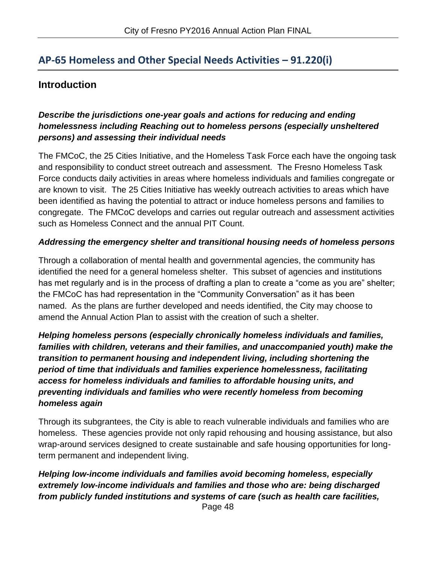## <span id="page-49-0"></span>**AP-65 Homeless and Other Special Needs Activities – 91.220(i)**

### **Introduction**

### *Describe the jurisdictions one-year goals and actions for reducing and ending homelessness including Reaching out to homeless persons (especially unsheltered persons) and assessing their individual needs*

The FMCoC, the 25 Cities Initiative, and the Homeless Task Force each have the ongoing task and responsibility to conduct street outreach and assessment. The Fresno Homeless Task Force conducts daily activities in areas where homeless individuals and families congregate or are known to visit. The 25 Cities Initiative has weekly outreach activities to areas which have been identified as having the potential to attract or induce homeless persons and families to congregate. The FMCoC develops and carries out regular outreach and assessment activities such as Homeless Connect and the annual PIT Count.

#### *Addressing the emergency shelter and transitional housing needs of homeless persons*

Through a collaboration of mental health and governmental agencies, the community has identified the need for a general homeless shelter. This subset of agencies and institutions has met regularly and is in the process of drafting a plan to create a "come as you are" shelter; the FMCoC has had representation in the "Community Conversation" as it has been named. As the plans are further developed and needs identified, the City may choose to amend the Annual Action Plan to assist with the creation of such a shelter.

*Helping homeless persons (especially chronically homeless individuals and families, families with children, veterans and their families, and unaccompanied youth) make the transition to permanent housing and independent living, including shortening the period of time that individuals and families experience homelessness, facilitating access for homeless individuals and families to affordable housing units, and preventing individuals and families who were recently homeless from becoming homeless again*

Through its subgrantees, the City is able to reach vulnerable individuals and families who are homeless. These agencies provide not only rapid rehousing and housing assistance, but also wrap-around services designed to create sustainable and safe housing opportunities for longterm permanent and independent living.

#### Page 48 *Helping low-income individuals and families avoid becoming homeless, especially extremely low-income individuals and families and those who are: being discharged from publicly funded institutions and systems of care (such as health care facilities,*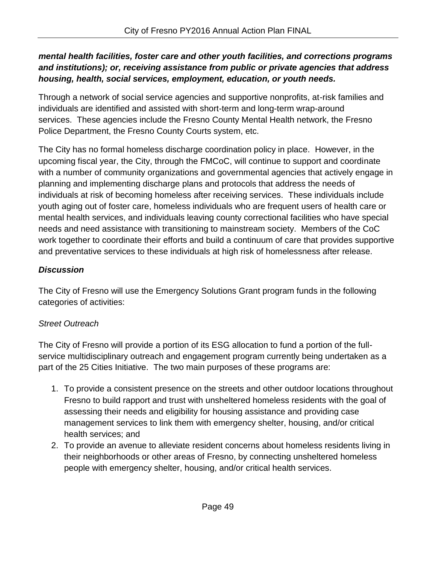### *mental health facilities, foster care and other youth facilities, and corrections programs and institutions); or, receiving assistance from public or private agencies that address housing, health, social services, employment, education, or youth needs.*

Through a network of social service agencies and supportive nonprofits, at-risk families and individuals are identified and assisted with short-term and long-term wrap-around services. These agencies include the Fresno County Mental Health network, the Fresno Police Department, the Fresno County Courts system, etc.

The City has no formal homeless discharge coordination policy in place. However, in the upcoming fiscal year, the City, through the FMCoC, will continue to support and coordinate with a number of community organizations and governmental agencies that actively engage in planning and implementing discharge plans and protocols that address the needs of individuals at risk of becoming homeless after receiving services. These individuals include youth aging out of foster care, homeless individuals who are frequent users of health care or mental health services, and individuals leaving county correctional facilities who have special needs and need assistance with transitioning to mainstream society. Members of the CoC work together to coordinate their efforts and build a continuum of care that provides supportive and preventative services to these individuals at high risk of homelessness after release.

### *Discussion*

The City of Fresno will use the Emergency Solutions Grant program funds in the following categories of activities:

### *Street Outreach*

The City of Fresno will provide a portion of its ESG allocation to fund a portion of the fullservice multidisciplinary outreach and engagement program currently being undertaken as a part of the 25 Cities Initiative. The two main purposes of these programs are:

- 1. To provide a consistent presence on the streets and other outdoor locations throughout Fresno to build rapport and trust with unsheltered homeless residents with the goal of assessing their needs and eligibility for housing assistance and providing case management services to link them with emergency shelter, housing, and/or critical health services; and
- 2. To provide an avenue to alleviate resident concerns about homeless residents living in their neighborhoods or other areas of Fresno, by connecting unsheltered homeless people with emergency shelter, housing, and/or critical health services.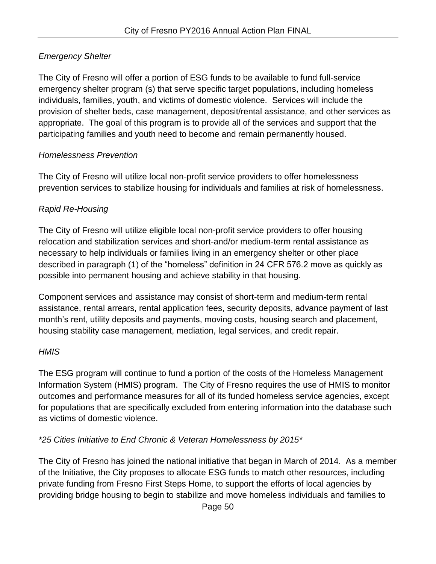### *Emergency Shelter*

The City of Fresno will offer a portion of ESG funds to be available to fund full-service emergency shelter program (s) that serve specific target populations, including homeless individuals, families, youth, and victims of domestic violence. Services will include the provision of shelter beds, case management, deposit/rental assistance, and other services as appropriate. The goal of this program is to provide all of the services and support that the participating families and youth need to become and remain permanently housed.

### *Homelessness Prevention*

The City of Fresno will utilize local non-profit service providers to offer homelessness prevention services to stabilize housing for individuals and families at risk of homelessness.

### *Rapid Re-Housing*

The City of Fresno will utilize eligible local non-profit service providers to offer housing relocation and stabilization services and short-and/or medium-term rental assistance as necessary to help individuals or families living in an emergency shelter or other place described in paragraph (1) of the "homeless" definition in 24 CFR 576.2 move as quickly as possible into permanent housing and achieve stability in that housing.

Component services and assistance may consist of short-term and medium-term rental assistance, rental arrears, rental application fees, security deposits, advance payment of last month's rent, utility deposits and payments, moving costs, housing search and placement, housing stability case management, mediation, legal services, and credit repair.

### *HMIS*

The ESG program will continue to fund a portion of the costs of the Homeless Management Information System (HMIS) program. The City of Fresno requires the use of HMIS to monitor outcomes and performance measures for all of its funded homeless service agencies, except for populations that are specifically excluded from entering information into the database such as victims of domestic violence.

### *\*25 Cities Initiative to End Chronic & Veteran Homelessness by 2015\**

The City of Fresno has joined the national initiative that began in March of 2014. As a member of the Initiative, the City proposes to allocate ESG funds to match other resources, including private funding from Fresno First Steps Home, to support the efforts of local agencies by providing bridge housing to begin to stabilize and move homeless individuals and families to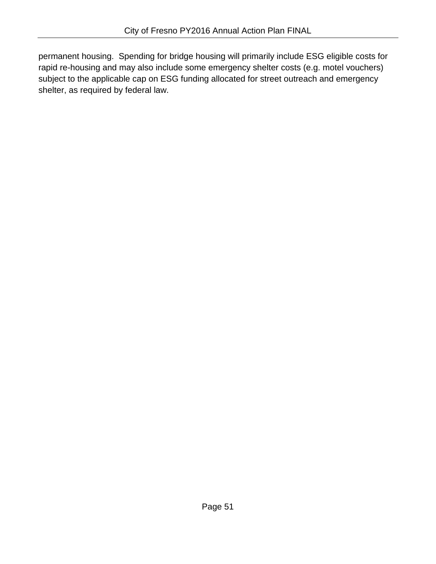permanent housing. Spending for bridge housing will primarily include ESG eligible costs for rapid re-housing and may also include some emergency shelter costs (e.g. motel vouchers) subject to the applicable cap on ESG funding allocated for street outreach and emergency shelter, as required by federal law.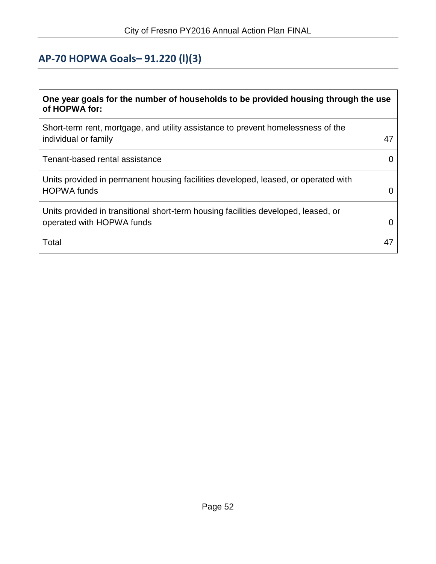## <span id="page-53-0"></span>**AP-70 HOPWA Goals– 91.220 (l)(3)**

| One year goals for the number of households to be provided housing through the use<br>of HOPWA for:             |    |
|-----------------------------------------------------------------------------------------------------------------|----|
| Short-term rent, mortgage, and utility assistance to prevent homelessness of the<br>individual or family        | 47 |
| Tenant-based rental assistance                                                                                  |    |
| Units provided in permanent housing facilities developed, leased, or operated with<br><b>HOPWA</b> funds        |    |
| Units provided in transitional short-term housing facilities developed, leased, or<br>operated with HOPWA funds |    |
| Total                                                                                                           | 47 |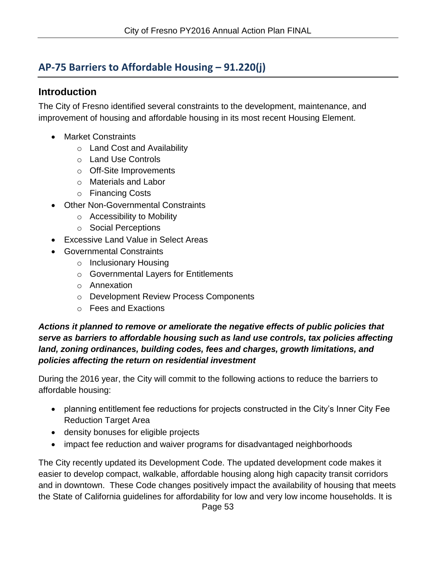## <span id="page-54-0"></span>**AP-75 Barriers to Affordable Housing – 91.220(j)**

### **Introduction**

The City of Fresno identified several constraints to the development, maintenance, and improvement of housing and affordable housing in its most recent Housing Element.

- Market Constraints
	- o Land Cost and Availability
	- o Land Use Controls
	- o Off-Site Improvements
	- o Materials and Labor
	- o Financing Costs
- Other Non-Governmental Constraints
	- o Accessibility to Mobility
	- o Social Perceptions
- Excessive Land Value in Select Areas
- Governmental Constraints
	- o Inclusionary Housing
	- o Governmental Layers for Entitlements
	- o Annexation
	- o Development Review Process Components
	- o Fees and Exactions

#### *Actions it planned to remove or ameliorate the negative effects of public policies that serve as barriers to affordable housing such as land use controls, tax policies affecting land, zoning ordinances, building codes, fees and charges, growth limitations, and policies affecting the return on residential investment*

During the 2016 year, the City will commit to the following actions to reduce the barriers to affordable housing:

- planning entitlement fee reductions for projects constructed in the City's Inner City Fee Reduction Target Area
- density bonuses for eligible projects
- impact fee reduction and waiver programs for disadvantaged neighborhoods

Page 53 The City recently updated its Development Code. The updated development code makes it easier to develop compact, walkable, affordable housing along high capacity transit corridors and in downtown. These Code changes positively impact the availability of housing that meets the State of California guidelines for affordability for low and very low income households. It is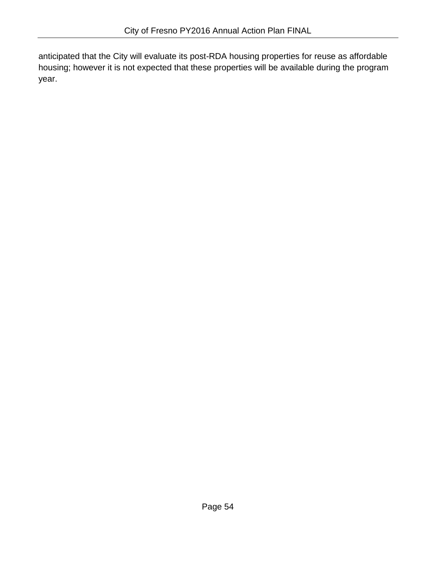anticipated that the City will evaluate its post-RDA housing properties for reuse as affordable housing; however it is not expected that these properties will be available during the program year.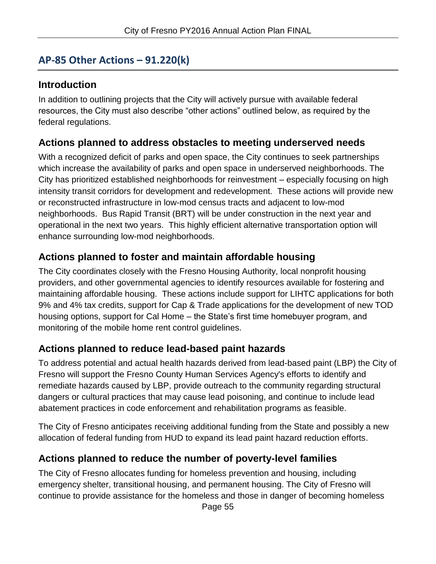### <span id="page-56-0"></span>**AP-85 Other Actions – 91.220(k)**

### **Introduction**

In addition to outlining projects that the City will actively pursue with available federal resources, the City must also describe "other actions" outlined below, as required by the federal regulations.

### **Actions planned to address obstacles to meeting underserved needs**

With a recognized deficit of parks and open space, the City continues to seek partnerships which increase the availability of parks and open space in underserved neighborhoods. The City has prioritized established neighborhoods for reinvestment – especially focusing on high intensity transit corridors for development and redevelopment. These actions will provide new or reconstructed infrastructure in low-mod census tracts and adjacent to low-mod neighborhoods. Bus Rapid Transit (BRT) will be under construction in the next year and operational in the next two years. This highly efficient alternative transportation option will enhance surrounding low-mod neighborhoods.

### **Actions planned to foster and maintain affordable housing**

The City coordinates closely with the Fresno Housing Authority, local nonprofit housing providers, and other governmental agencies to identify resources available for fostering and maintaining affordable housing. These actions include support for LIHTC applications for both 9% and 4% tax credits, support for Cap & Trade applications for the development of new TOD housing options, support for Cal Home – the State's first time homebuyer program, and monitoring of the mobile home rent control guidelines.

### **Actions planned to reduce lead-based paint hazards**

To address potential and actual health hazards derived from lead-based paint (LBP) the City of Fresno will support the Fresno County Human Services Agency's efforts to identify and remediate hazards caused by LBP, provide outreach to the community regarding structural dangers or cultural practices that may cause lead poisoning, and continue to include lead abatement practices in code enforcement and rehabilitation programs as feasible.

The City of Fresno anticipates receiving additional funding from the State and possibly a new allocation of federal funding from HUD to expand its lead paint hazard reduction efforts.

### **Actions planned to reduce the number of poverty-level families**

The City of Fresno allocates funding for homeless prevention and housing, including emergency shelter, transitional housing, and permanent housing. The City of Fresno will continue to provide assistance for the homeless and those in danger of becoming homeless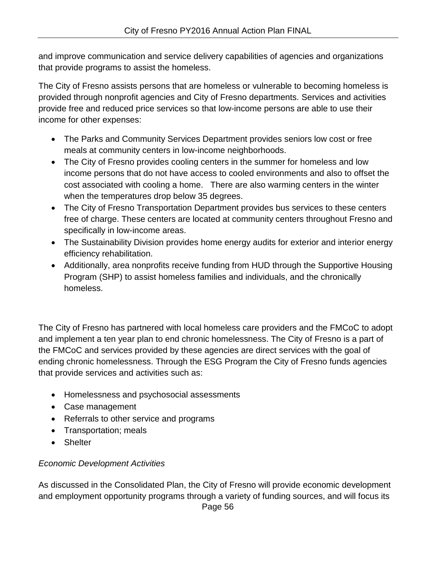and improve communication and service delivery capabilities of agencies and organizations that provide programs to assist the homeless.

The City of Fresno assists persons that are homeless or vulnerable to becoming homeless is provided through nonprofit agencies and City of Fresno departments. Services and activities provide free and reduced price services so that low-income persons are able to use their income for other expenses:

- The Parks and Community Services Department provides seniors low cost or free meals at community centers in low-income neighborhoods.
- The City of Fresno provides cooling centers in the summer for homeless and low income persons that do not have access to cooled environments and also to offset the cost associated with cooling a home. There are also warming centers in the winter when the temperatures drop below 35 degrees.
- The City of Fresno Transportation Department provides bus services to these centers free of charge. These centers are located at community centers throughout Fresno and specifically in low-income areas.
- The Sustainability Division provides home energy audits for exterior and interior energy efficiency rehabilitation.
- Additionally, area nonprofits receive funding from HUD through the Supportive Housing Program (SHP) to assist homeless families and individuals, and the chronically homeless.

The City of Fresno has partnered with local homeless care providers and the FMCoC to adopt and implement a ten year plan to end chronic homelessness. The City of Fresno is a part of the FMCoC and services provided by these agencies are direct services with the goal of ending chronic homelessness. Through the ESG Program the City of Fresno funds agencies that provide services and activities such as:

- Homelessness and psychosocial assessments
- Case management
- Referrals to other service and programs
- Transportation; meals
- Shelter

### *Economic Development Activities*

Page 56 As discussed in the Consolidated Plan, the City of Fresno will provide economic development and employment opportunity programs through a variety of funding sources, and will focus its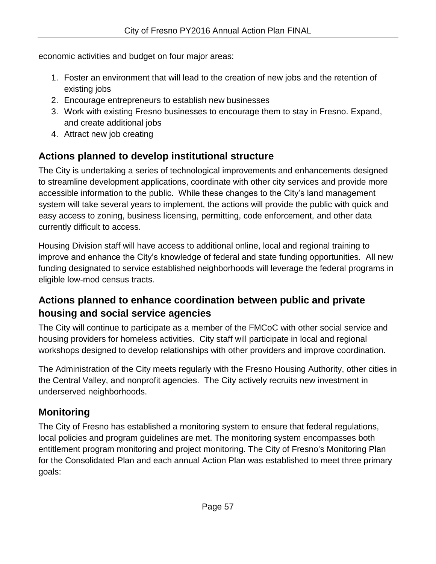economic activities and budget on four major areas:

- 1. Foster an environment that will lead to the creation of new jobs and the retention of existing jobs
- 2. Encourage entrepreneurs to establish new businesses
- 3. Work with existing Fresno businesses to encourage them to stay in Fresno. Expand, and create additional jobs
- 4. Attract new job creating

## **Actions planned to develop institutional structure**

The City is undertaking a series of technological improvements and enhancements designed to streamline development applications, coordinate with other city services and provide more accessible information to the public. While these changes to the City's land management system will take several years to implement, the actions will provide the public with quick and easy access to zoning, business licensing, permitting, code enforcement, and other data currently difficult to access.

Housing Division staff will have access to additional online, local and regional training to improve and enhance the City's knowledge of federal and state funding opportunities. All new funding designated to service established neighborhoods will leverage the federal programs in eligible low-mod census tracts.

## **Actions planned to enhance coordination between public and private housing and social service agencies**

The City will continue to participate as a member of the FMCoC with other social service and housing providers for homeless activities. City staff will participate in local and regional workshops designed to develop relationships with other providers and improve coordination.

The Administration of the City meets regularly with the Fresno Housing Authority, other cities in the Central Valley, and nonprofit agencies. The City actively recruits new investment in underserved neighborhoods.

## **Monitoring**

The City of Fresno has established a monitoring system to ensure that federal regulations, local policies and program guidelines are met. The monitoring system encompasses both entitlement program monitoring and project monitoring. The City of Fresno's Monitoring Plan for the Consolidated Plan and each annual Action Plan was established to meet three primary goals: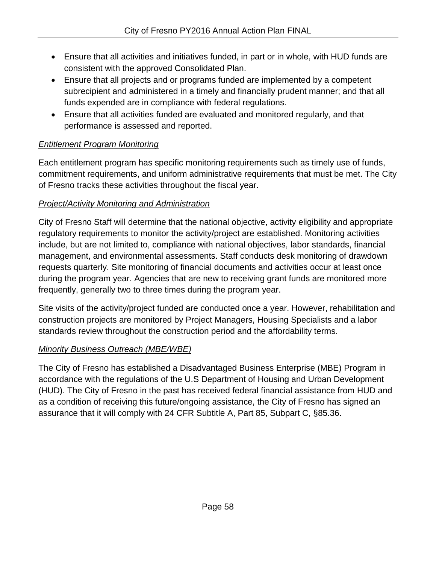- Ensure that all activities and initiatives funded, in part or in whole, with HUD funds are consistent with the approved Consolidated Plan.
- Ensure that all projects and or programs funded are implemented by a competent subrecipient and administered in a timely and financially prudent manner; and that all funds expended are in compliance with federal regulations.
- Ensure that all activities funded are evaluated and monitored regularly, and that performance is assessed and reported.

### *Entitlement Program Monitoring*

Each entitlement program has specific monitoring requirements such as timely use of funds, commitment requirements, and uniform administrative requirements that must be met. The City of Fresno tracks these activities throughout the fiscal year.

### *Project/Activity Monitoring and Administration*

City of Fresno Staff will determine that the national objective, activity eligibility and appropriate regulatory requirements to monitor the activity/project are established. Monitoring activities include, but are not limited to, compliance with national objectives, labor standards, financial management, and environmental assessments. Staff conducts desk monitoring of drawdown requests quarterly. Site monitoring of financial documents and activities occur at least once during the program year. Agencies that are new to receiving grant funds are monitored more frequently, generally two to three times during the program year.

Site visits of the activity/project funded are conducted once a year. However, rehabilitation and construction projects are monitored by Project Managers, Housing Specialists and a labor standards review throughout the construction period and the affordability terms.

### *Minority Business Outreach (MBE/WBE)*

The City of Fresno has established a Disadvantaged Business Enterprise (MBE) Program in accordance with the regulations of the U.S Department of Housing and Urban Development (HUD). The City of Fresno in the past has received federal financial assistance from HUD and as a condition of receiving this future/ongoing assistance, the City of Fresno has signed an assurance that it will comply with 24 CFR Subtitle A, Part 85, Subpart C, §85.36.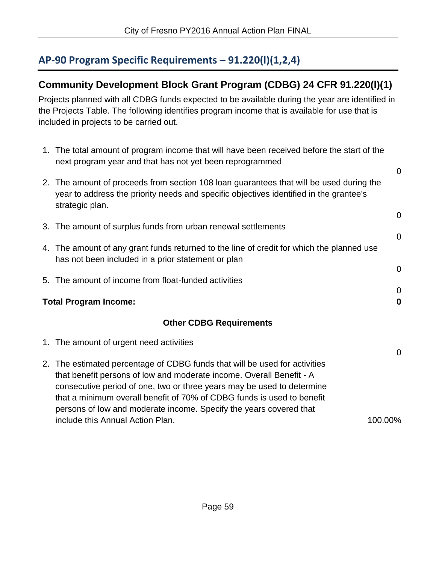## <span id="page-60-0"></span>**AP-90 Program Specific Requirements – 91.220(l)(1,2,4)**

## **Community Development Block Grant Program (CDBG) 24 CFR 91.220(l)(1)**

Projects planned with all CDBG funds expected to be available during the year are identified in the Projects Table. The following identifies program income that is available for use that is included in projects to be carried out.

| 1. The total amount of program income that will have been received before the start of the<br>next program year and that has not yet been reprogrammed                                               |                |  |
|------------------------------------------------------------------------------------------------------------------------------------------------------------------------------------------------------|----------------|--|
| 2. The amount of proceeds from section 108 loan guarantees that will be used during the<br>year to address the priority needs and specific objectives identified in the grantee's<br>strategic plan. | $\mathbf 0$    |  |
|                                                                                                                                                                                                      | $\mathbf 0$    |  |
| 3. The amount of surplus funds from urban renewal settlements                                                                                                                                        |                |  |
|                                                                                                                                                                                                      | $\overline{0}$ |  |
| 4. The amount of any grant funds returned to the line of credit for which the planned use<br>has not been included in a prior statement or plan                                                      |                |  |
|                                                                                                                                                                                                      | $\mathbf 0$    |  |
| 5. The amount of income from float-funded activities                                                                                                                                                 |                |  |
|                                                                                                                                                                                                      | 0              |  |
| <b>Total Program Income:</b>                                                                                                                                                                         |                |  |
| <b>Other CDBG Requirements</b>                                                                                                                                                                       |                |  |
| 1. The amount of urgent need activities                                                                                                                                                              |                |  |

2. The estimated percentage of CDBG funds that will be used for activities that benefit persons of low and moderate income. Overall Benefit - A consecutive period of one, two or three years may be used to determine that a minimum overall benefit of 70% of CDBG funds is used to benefit persons of low and moderate income. Specify the years covered that include this Annual Action Plan. 100.00%

0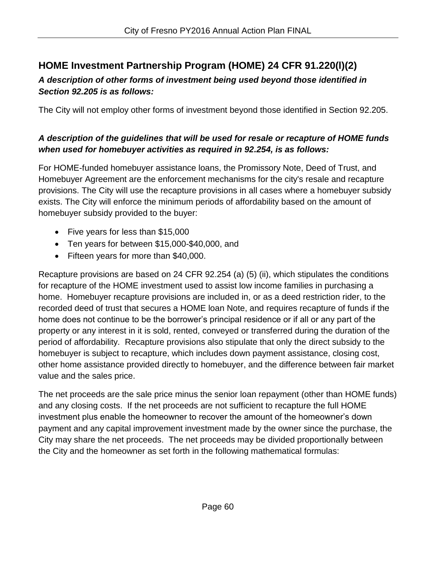## **HOME Investment Partnership Program (HOME) 24 CFR 91.220(l)(2)**

### *A description of other forms of investment being used beyond those identified in Section 92.205 is as follows:*

The City will not employ other forms of investment beyond those identified in Section 92.205.

### *A description of the guidelines that will be used for resale or recapture of HOME funds when used for homebuyer activities as required in 92.254, is as follows:*

For HOME-funded homebuyer assistance loans, the Promissory Note, Deed of Trust, and Homebuyer Agreement are the enforcement mechanisms for the city's resale and recapture provisions. The City will use the recapture provisions in all cases where a homebuyer subsidy exists. The City will enforce the minimum periods of affordability based on the amount of homebuyer subsidy provided to the buyer:

- Five years for less than \$15,000
- Ten years for between \$15,000-\$40,000, and
- Fifteen years for more than \$40,000.

Recapture provisions are based on 24 CFR 92.254 (a) (5) (ii), which stipulates the conditions for recapture of the HOME investment used to assist low income families in purchasing a home. Homebuyer recapture provisions are included in, or as a deed restriction rider, to the recorded deed of trust that secures a HOME loan Note, and requires recapture of funds if the home does not continue to be the borrower's principal residence or if all or any part of the property or any interest in it is sold, rented, conveyed or transferred during the duration of the period of affordability. Recapture provisions also stipulate that only the direct subsidy to the homebuyer is subject to recapture, which includes down payment assistance, closing cost, other home assistance provided directly to homebuyer, and the difference between fair market value and the sales price.

The net proceeds are the sale price minus the senior loan repayment (other than HOME funds) and any closing costs. If the net proceeds are not sufficient to recapture the full HOME investment plus enable the homeowner to recover the amount of the homeowner's down payment and any capital improvement investment made by the owner since the purchase, the City may share the net proceeds. The net proceeds may be divided proportionally between the City and the homeowner as set forth in the following mathematical formulas: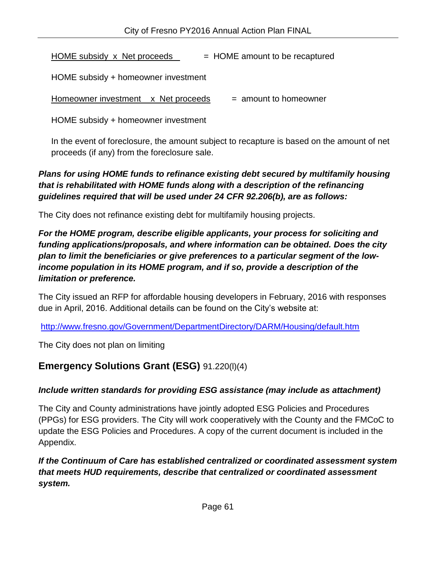HOME subsidy  $\times$  Net proceeds  $\qquad$  = HOME amount to be recaptured

HOME subsidy + homeowner investment

Homeowner investment  $x$  Net proceeds  $=$  amount to homeowner

HOME subsidy + homeowner investment

In the event of foreclosure, the amount subject to recapture is based on the amount of net proceeds (if any) from the foreclosure sale.

### *Plans for using HOME funds to refinance existing debt secured by multifamily housing that is rehabilitated with HOME funds along with a description of the refinancing guidelines required that will be used under 24 CFR 92.206(b), are as follows:*

The City does not refinance existing debt for multifamily housing projects.

*For the HOME program, describe eligible applicants, your process for soliciting and funding applications/proposals, and where information can be obtained. Does the city plan to limit the beneficiaries or give preferences to a particular segment of the lowincome population in its HOME program, and if so, provide a description of the limitation or preference.*

The City issued an RFP for affordable housing developers in February, 2016 with responses due in April, 2016. Additional details can be found on the City's website at:

<http://www.fresno.gov/Government/DepartmentDirectory/DARM/Housing/default.htm>

The City does not plan on limiting

## **Emergency Solutions Grant (ESG)** 91.220(l)(4)

### *Include written standards for providing ESG assistance (may include as attachment)*

The City and County administrations have jointly adopted ESG Policies and Procedures (PPGs) for ESG providers. The City will work cooperatively with the County and the FMCoC to update the ESG Policies and Procedures. A copy of the current document is included in the Appendix.

*If the Continuum of Care has established centralized or coordinated assessment system that meets HUD requirements, describe that centralized or coordinated assessment system.*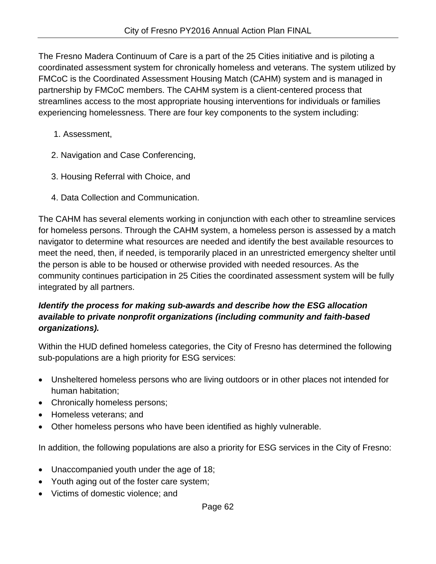The Fresno Madera Continuum of Care is a part of the 25 Cities initiative and is piloting a coordinated assessment system for chronically homeless and veterans. The system utilized by FMCoC is the Coordinated Assessment Housing Match (CAHM) system and is managed in partnership by FMCoC members. The CAHM system is a client-centered process that streamlines access to the most appropriate housing interventions for individuals or families experiencing homelessness. There are four key components to the system including:

- 1. Assessment,
- 2. Navigation and Case Conferencing,
- 3. Housing Referral with Choice, and
- 4. Data Collection and Communication.

The CAHM has several elements working in conjunction with each other to streamline services for homeless persons. Through the CAHM system, a homeless person is assessed by a match navigator to determine what resources are needed and identify the best available resources to meet the need, then, if needed, is temporarily placed in an unrestricted emergency shelter until the person is able to be housed or otherwise provided with needed resources. As the community continues participation in 25 Cities the coordinated assessment system will be fully integrated by all partners.

### *Identify the process for making sub-awards and describe how the ESG allocation available to private nonprofit organizations (including community and faith-based organizations).*

Within the HUD defined homeless categories, the City of Fresno has determined the following sub-populations are a high priority for ESG services:

- Unsheltered homeless persons who are living outdoors or in other places not intended for human habitation;
- Chronically homeless persons;
- Homeless veterans; and
- Other homeless persons who have been identified as highly vulnerable.

In addition, the following populations are also a priority for ESG services in the City of Fresno:

- Unaccompanied youth under the age of 18;
- Youth aging out of the foster care system;
- Victims of domestic violence; and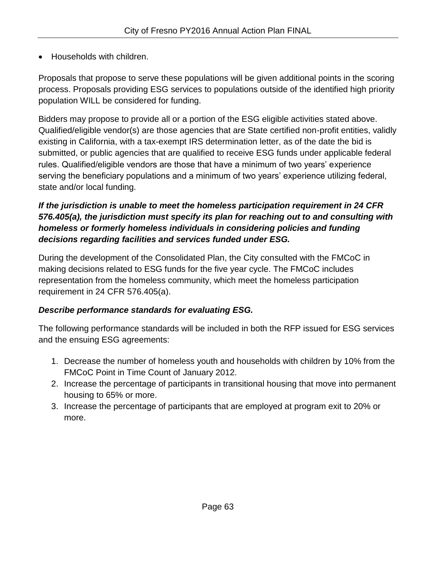Households with children.

Proposals that propose to serve these populations will be given additional points in the scoring process. Proposals providing ESG services to populations outside of the identified high priority population WILL be considered for funding.

Bidders may propose to provide all or a portion of the ESG eligible activities stated above. Qualified/eligible vendor(s) are those agencies that are State certified non-profit entities, validly existing in California, with a tax-exempt IRS determination letter, as of the date the bid is submitted, or public agencies that are qualified to receive ESG funds under applicable federal rules. Qualified/eligible vendors are those that have a minimum of two years' experience serving the beneficiary populations and a minimum of two years' experience utilizing federal, state and/or local funding.

### *If the jurisdiction is unable to meet the homeless participation requirement in 24 CFR 576.405(a), the jurisdiction must specify its plan for reaching out to and consulting with homeless or formerly homeless individuals in considering policies and funding decisions regarding facilities and services funded under ESG.*

During the development of the Consolidated Plan, the City consulted with the FMCoC in making decisions related to ESG funds for the five year cycle. The FMCoC includes representation from the homeless community, which meet the homeless participation requirement in 24 CFR 576.405(a).

### *Describe performance standards for evaluating ESG.*

The following performance standards will be included in both the RFP issued for ESG services and the ensuing ESG agreements:

- 1. Decrease the number of homeless youth and households with children by 10% from the FMCoC Point in Time Count of January 2012.
- 2. Increase the percentage of participants in transitional housing that move into permanent housing to 65% or more.
- 3. Increase the percentage of participants that are employed at program exit to 20% or more.